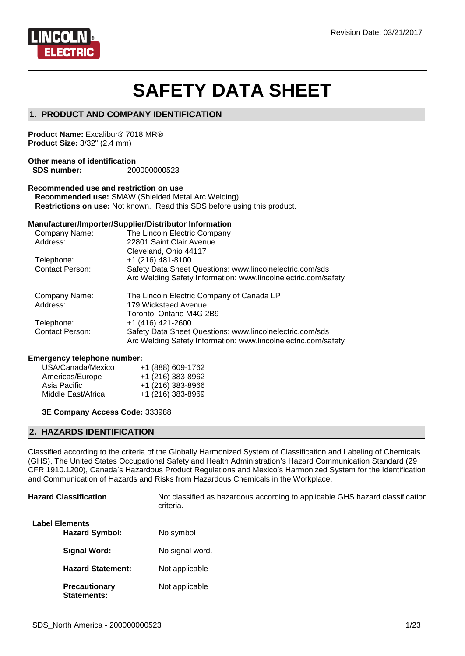

# **SAFETY DATA SHEET**

### **1. PRODUCT AND COMPANY IDENTIFICATION**

**Product Name:** Excalibur® 7018 MR® **Product Size:** 3/32" (2.4 mm)

#### **Other means of identification SDS number:** 200000000523

#### **Recommended use and restriction on use**

**Recommended use:** SMAW (Shielded Metal Arc Welding) **Restrictions on use:** Not known. Read this SDS before using this product.

#### **Manufacturer/Importer/Supplier/Distributor Information**

| Company Name:          | The Lincoln Electric Company                                   |
|------------------------|----------------------------------------------------------------|
| Address:               | 22801 Saint Clair Avenue                                       |
|                        | Cleveland, Ohio 44117                                          |
| Telephone:             | +1 (216) 481-8100                                              |
| Contact Person:        | Safety Data Sheet Questions: www.lincolnelectric.com/sds       |
|                        | Arc Welding Safety Information: www.lincolnelectric.com/safety |
|                        |                                                                |
| Company Name:          | The Lincoln Electric Company of Canada LP                      |
| Address:               | 179 Wicksteed Avenue                                           |
|                        | Toronto, Ontario M4G 2B9                                       |
| Telephone:             | +1 (416) 421-2600                                              |
| <b>Contact Person:</b> | Safety Data Sheet Questions: www.lincolnelectric.com/sds       |

#### **Emergency telephone number:**

| USA/Canada/Mexico  | +1 (888) 609-1762 |
|--------------------|-------------------|
| Americas/Europe    | +1 (216) 383-8962 |
| Asia Pacific       | +1 (216) 383-8966 |
| Middle East/Africa | +1 (216) 383-8969 |

**3E Company Access Code:** 333988

### **2. HAZARDS IDENTIFICATION**

Classified according to the criteria of the Globally Harmonized System of Classification and Labeling of Chemicals (GHS), The United States Occupational Safety and Health Administration's Hazard Communication Standard (29 CFR 1910.1200), Canada's Hazardous Product Regulations and Mexico's Harmonized System for the Identification and Communication of Hazards and Risks from Hazardous Chemicals in the Workplace.

| <b>Hazard Classification</b>                   | Not classified as hazardous according to applicable GHS hazard classification<br>criteria. |  |
|------------------------------------------------|--------------------------------------------------------------------------------------------|--|
| <b>Label Elements</b><br><b>Hazard Symbol:</b> | No symbol                                                                                  |  |
| Signal Word:                                   | No signal word.                                                                            |  |
| <b>Hazard Statement:</b>                       | Not applicable                                                                             |  |
| <b>Precautionary</b><br>Statements:            | Not applicable                                                                             |  |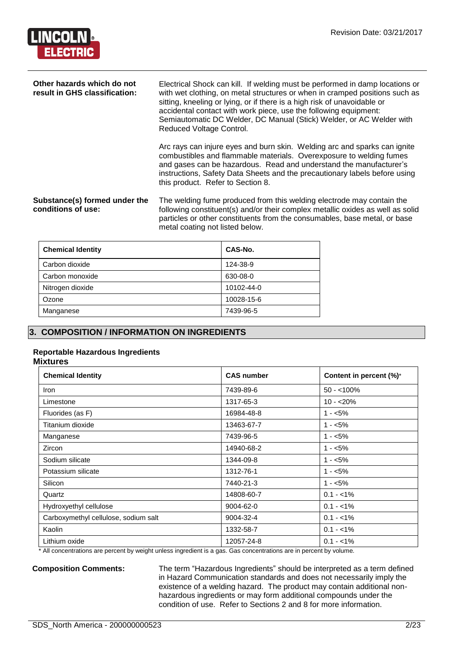

| Other hazards which do not<br>result in GHS classification: | Electrical Shock can kill. If welding must be performed in damp locations or<br>with wet clothing, on metal structures or when in cramped positions such as<br>sitting, kneeling or lying, or if there is a high risk of unavoidable or<br>accidental contact with work piece, use the following equipment:<br>Semiautomatic DC Welder, DC Manual (Stick) Welder, or AC Welder with<br>Reduced Voltage Control. |  |
|-------------------------------------------------------------|-----------------------------------------------------------------------------------------------------------------------------------------------------------------------------------------------------------------------------------------------------------------------------------------------------------------------------------------------------------------------------------------------------------------|--|
|                                                             | Arc rays can injure eyes and burn skin. Welding arc and sparks can ignite<br>combustibles and flammable materials. Overexposure to welding fumes<br>and gases can be hazardous. Read and understand the manufacturer's<br>instructions, Safety Data Sheets and the precautionary labels before using<br>this product. Refer to Section 8.                                                                       |  |
| Substance(s) formed under the<br>conditions of use:         | The welding fume produced from this welding electrode may contain the<br>following constituent(s) and/or their complex metallic oxides as well as solid<br>particles or other constituents from the consumables, base metal, or base<br>metal coating not listed below.                                                                                                                                         |  |

| <b>Chemical Identity</b> | CAS-No.    |
|--------------------------|------------|
| Carbon dioxide           | 124-38-9   |
| Carbon monoxide          | 630-08-0   |
| Nitrogen dioxide         | 10102-44-0 |
| Ozone                    | 10028-15-6 |
| Manganese                | 7439-96-5  |

# **3. COMPOSITION / INFORMATION ON INGREDIENTS**

#### **Reportable Hazardous Ingredients**

#### **Mixtures**

| <b>Chemical Identity</b>             | <b>CAS number</b> | Content in percent (%)* |
|--------------------------------------|-------------------|-------------------------|
| Iron                                 | 7439-89-6         | $50 - 100\%$            |
| Limestone                            | 1317-65-3         | $10 - 20%$              |
| Fluorides (as F)                     | 16984-48-8        | $1 - 5\%$               |
| Titanium dioxide                     | 13463-67-7        | $1 - 5%$                |
| Manganese                            | 7439-96-5         | $1 - 5%$                |
| Zircon                               | 14940-68-2        | $1 - 5%$                |
| Sodium silicate                      | 1344-09-8         | $1 - 5%$                |
| Potassium silicate                   | 1312-76-1         | $1 - 5\%$               |
| Silicon                              | 7440-21-3         | $1 - 5%$                |
| Quartz                               | 14808-60-7        | $0.1 - 1\%$             |
| Hydroxyethyl cellulose               | 9004-62-0         | $0.1 - 1\%$             |
| Carboxymethyl cellulose, sodium salt | 9004-32-4         | $0.1 - 1\%$             |
| Kaolin                               | 1332-58-7         | $0.1 - 1\%$             |
| Lithium oxide                        | 12057-24-8        | $0.1 - 1\%$             |

\* All concentrations are percent by weight unless ingredient is a gas. Gas concentrations are in percent by volume.

**Composition Comments:** The term "Hazardous Ingredients" should be interpreted as a term defined in Hazard Communication standards and does not necessarily imply the existence of a welding hazard. The product may contain additional nonhazardous ingredients or may form additional compounds under the condition of use. Refer to Sections 2 and 8 for more information.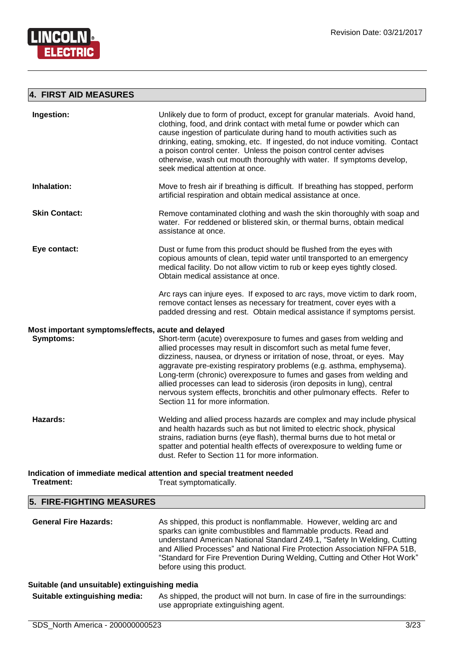

#### **4. FIRST AID MEASURES**

| Ingestion:                                                             | Unlikely due to form of product, except for granular materials. Avoid hand,<br>clothing, food, and drink contact with metal fume or powder which can<br>cause ingestion of particulate during hand to mouth activities such as<br>drinking, eating, smoking, etc. If ingested, do not induce vomiting. Contact<br>a poison control center. Unless the poison control center advises<br>otherwise, wash out mouth thoroughly with water. If symptoms develop,<br>seek medical attention at once.                                                                     |
|------------------------------------------------------------------------|---------------------------------------------------------------------------------------------------------------------------------------------------------------------------------------------------------------------------------------------------------------------------------------------------------------------------------------------------------------------------------------------------------------------------------------------------------------------------------------------------------------------------------------------------------------------|
| Inhalation:                                                            | Move to fresh air if breathing is difficult. If breathing has stopped, perform<br>artificial respiration and obtain medical assistance at once.                                                                                                                                                                                                                                                                                                                                                                                                                     |
| <b>Skin Contact:</b>                                                   | Remove contaminated clothing and wash the skin thoroughly with soap and<br>water. For reddened or blistered skin, or thermal burns, obtain medical<br>assistance at once.                                                                                                                                                                                                                                                                                                                                                                                           |
| Eye contact:                                                           | Dust or fume from this product should be flushed from the eyes with<br>copious amounts of clean, tepid water until transported to an emergency<br>medical facility. Do not allow victim to rub or keep eyes tightly closed.<br>Obtain medical assistance at once.                                                                                                                                                                                                                                                                                                   |
|                                                                        | Arc rays can injure eyes. If exposed to arc rays, move victim to dark room,<br>remove contact lenses as necessary for treatment, cover eyes with a<br>padded dressing and rest. Obtain medical assistance if symptoms persist.                                                                                                                                                                                                                                                                                                                                      |
| Most important symptoms/effects, acute and delayed<br><b>Symptoms:</b> | Short-term (acute) overexposure to fumes and gases from welding and<br>allied processes may result in discomfort such as metal fume fever,<br>dizziness, nausea, or dryness or irritation of nose, throat, or eyes. May<br>aggravate pre-existing respiratory problems (e.g. asthma, emphysema).<br>Long-term (chronic) overexposure to fumes and gases from welding and<br>allied processes can lead to siderosis (iron deposits in lung), central<br>nervous system effects, bronchitis and other pulmonary effects. Refer to<br>Section 11 for more information. |
| Hazards:                                                               | Welding and allied process hazards are complex and may include physical<br>and health hazards such as but not limited to electric shock, physical<br>strains, radiation burns (eye flash), thermal burns due to hot metal or<br>spatter and potential health effects of overexposure to welding fume or<br>dust. Refer to Section 11 for more information.                                                                                                                                                                                                          |
| Treatment:                                                             | Indication of immediate medical attention and special treatment needed<br>Treat symptomatically.                                                                                                                                                                                                                                                                                                                                                                                                                                                                    |

#### **5. FIRE-FIGHTING MEASURES**

| <b>General Fire Hazards:</b> | As shipped, this product is nonflammable. However, welding arc and<br>sparks can ignite combustibles and flammable products. Read and<br>understand American National Standard Z49.1, "Safety In Welding, Cutting<br>and Allied Processes" and National Fire Protection Association NFPA 51B,<br>"Standard for Fire Prevention During Welding, Cutting and Other Hot Work"<br>before using this product. |
|------------------------------|----------------------------------------------------------------------------------------------------------------------------------------------------------------------------------------------------------------------------------------------------------------------------------------------------------------------------------------------------------------------------------------------------------|
|------------------------------|----------------------------------------------------------------------------------------------------------------------------------------------------------------------------------------------------------------------------------------------------------------------------------------------------------------------------------------------------------------------------------------------------------|

# **Suitable (and unsuitable) extinguishing media**

**Suitable extinguishing media:** As shipped, the product will not burn. In case of fire in the surroundings: use appropriate extinguishing agent.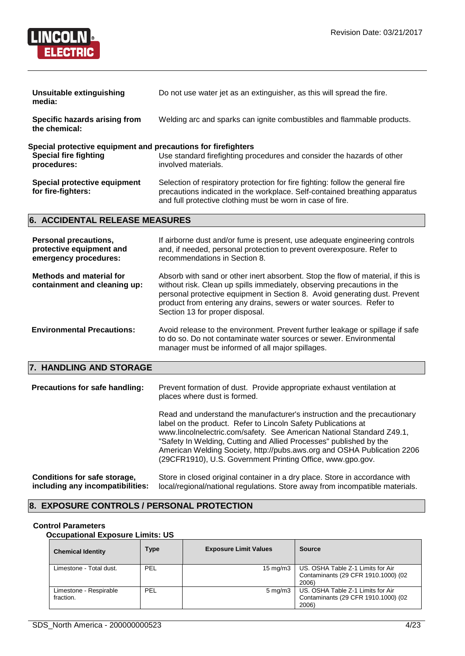

| <b>Unsuitable extinguishing</b><br>media:                                                                    | Do not use water jet as an extinguisher, as this will spread the fire.                                                                                                                                                     |
|--------------------------------------------------------------------------------------------------------------|----------------------------------------------------------------------------------------------------------------------------------------------------------------------------------------------------------------------------|
| Specific hazards arising from<br>the chemical:                                                               | Welding arc and sparks can ignite combustibles and flammable products.                                                                                                                                                     |
| Special protective equipment and precautions for firefighters<br><b>Special fire fighting</b><br>procedures: | Use standard firefighting procedures and consider the hazards of other<br>involved materials.                                                                                                                              |
| Special protective equipment<br>for fire-fighters:                                                           | Selection of respiratory protection for fire fighting: follow the general fire<br>precautions indicated in the workplace. Self-contained breathing apparatus<br>and full protective clothing must be worn in case of fire. |

# **6. ACCIDENTAL RELEASE MEASURES**

| <b>Personal precautions,</b><br>protective equipment and<br>emergency procedures: | If airborne dust and/or fume is present, use adequate engineering controls<br>and, if needed, personal protection to prevent overexposure. Refer to<br>recommendations in Section 8.                                                                                                                                                                |
|-----------------------------------------------------------------------------------|-----------------------------------------------------------------------------------------------------------------------------------------------------------------------------------------------------------------------------------------------------------------------------------------------------------------------------------------------------|
| <b>Methods and material for</b><br>containment and cleaning up:                   | Absorb with sand or other inert absorbent. Stop the flow of material, if this is<br>without risk. Clean up spills immediately, observing precautions in the<br>personal protective equipment in Section 8. Avoid generating dust. Prevent<br>product from entering any drains, sewers or water sources. Refer to<br>Section 13 for proper disposal. |
| <b>Environmental Precautions:</b>                                                 | Avoid release to the environment. Prevent further leakage or spillage if safe<br>to do so. Do not contaminate water sources or sewer. Environmental<br>manager must be informed of all major spillages.                                                                                                                                             |
| 7. HANDLING AND STORAGE                                                           |                                                                                                                                                                                                                                                                                                                                                     |
| <b>Precautions for safe handling:</b>                                             | Prevent formation of dust. Provide appropriate exhaust ventilation at<br>places where dust is formed.                                                                                                                                                                                                                                               |
|                                                                                   | Read and understand the manufacturer's instruction and the precautionary<br>label on the product. Refer to Lincoln Safety Publications at<br>www.lincolnelectric.com/safety. See American National Standard Z49.1,                                                                                                                                  |

"Safety In Welding, Cutting and Allied Processes" published by the American Welding Society, http://pubs.aws.org and OSHA Publication 2206 (29CFR1910), U.S. Government Printing Office, www.gpo.gov.

#### **Conditions for safe storage, including any incompatibilities:** Store in closed original container in a dry place. Store in accordance with local/regional/national regulations. Store away from incompatible materials.

#### **8. EXPOSURE CONTROLS / PERSONAL PROTECTION**

#### **Control Parameters**

**Occupational Exposure Limits: US**

| <b>Chemical Identity</b>            | <b>Type</b> | <b>Exposure Limit Values</b> | <b>Source</b>                                                                     |
|-------------------------------------|-------------|------------------------------|-----------------------------------------------------------------------------------|
| Limestone - Total dust.             | PEL         | $15 \text{ mg/m}$            | US. OSHA Table Z-1 Limits for Air<br>Contaminants (29 CFR 1910.1000) (02<br>2006) |
| Limestone - Respirable<br>fraction. | PEL         | $5 \,\mathrm{mq/m}$ 3        | US. OSHA Table Z-1 Limits for Air<br>Contaminants (29 CFR 1910.1000) (02<br>2006) |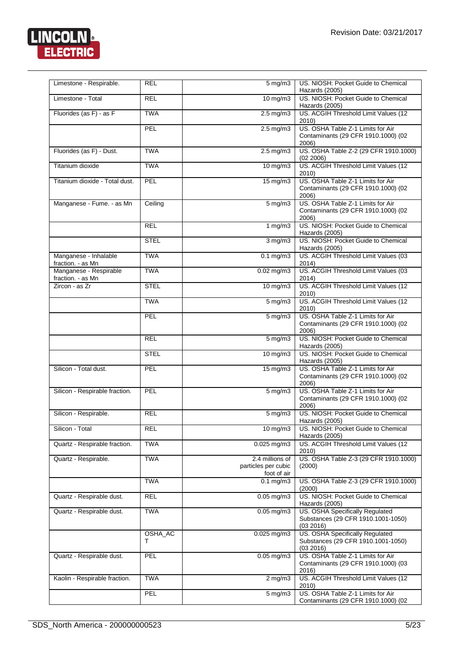

| Limestone - Respirable.                     | <b>REL</b>   | $5$ mg/m $3$                                          | US. NIOSH: Pocket Guide to Chemical<br>Hazards (2005)                              |
|---------------------------------------------|--------------|-------------------------------------------------------|------------------------------------------------------------------------------------|
| Limestone - Total                           | <b>REL</b>   | $10$ mg/m $3$                                         | US. NIOSH: Pocket Guide to Chemical                                                |
| Fluorides (as F) - as F                     | <b>TWA</b>   | $2.5 \text{ mg/m}$                                    | Hazards (2005)<br>US. ACGIH Threshold Limit Values (12                             |
|                                             |              |                                                       | 2010                                                                               |
|                                             | PEL          | $2.5 \text{ mg/m}$ 3                                  | US. OSHA Table Z-1 Limits for Air<br>Contaminants (29 CFR 1910.1000) (02<br>2006)  |
| Fluorides (as F) - Dust.                    | <b>TWA</b>   | $2.5 \text{ mg/m}$ 3                                  | US. OSHA Table Z-2 (29 CFR 1910.1000)<br>(02 2006)                                 |
| Titanium dioxide                            | <b>TWA</b>   | $10 \,\mathrm{mg/m}$                                  | US. ACGIH Threshold Limit Values (12<br>2010)                                      |
| Titanium dioxide - Total dust.              | PEL          | $15 \text{ mg/m}$                                     | US. OSHA Table Z-1 Limits for Air<br>Contaminants (29 CFR 1910.1000) (02<br>2006)  |
| Manganese - Fume. - as Mn                   | Ceiling      | $5 \text{ mg/m}$ 3                                    | US. OSHA Table Z-1 Limits for Air<br>Contaminants (29 CFR 1910.1000) (02<br>2006)  |
|                                             | <b>REL</b>   | 1 $mg/m3$                                             | US. NIOSH: Pocket Guide to Chemical<br>Hazards (2005)                              |
|                                             | <b>STEL</b>  | $3$ mg/m $3$                                          | US. NIOSH: Pocket Guide to Chemical<br>Hazards (2005)                              |
| Manganese - Inhalable<br>fraction. - as Mn  | <b>TWA</b>   | $0.1 \text{ mg/m}$                                    | US. ACGIH Threshold Limit Values (03<br>2014)                                      |
| Manganese - Respirable<br>fraction. - as Mn | <b>TWA</b>   | $0.02$ mg/m3                                          | US. ACGIH Threshold Limit Values (03<br>2014)                                      |
| Zircon - as Zr                              | <b>STEL</b>  | $10$ mg/m $3$                                         | US. ACGIH Threshold Limit Values (12<br>2010)                                      |
|                                             | <b>TWA</b>   | $5 \overline{\mathrm{mg}}$ m3                         | US. ACGIH Threshold Limit Values (12<br>2010)                                      |
|                                             | PEL          | 5 mg/m3                                               | US. OSHA Table Z-1 Limits for Air<br>Contaminants (29 CFR 1910.1000) (02<br>2006)  |
|                                             | <b>REL</b>   | $5 \overline{\mathrm{mg}}$ /m3                        | US. NIOSH: Pocket Guide to Chemical<br>Hazards (2005)                              |
|                                             | <b>STEL</b>  | 10 mg/m3                                              | US. NIOSH: Pocket Guide to Chemical<br>Hazards (2005)                              |
| Silicon - Total dust.                       | PEL          | 15 mg/m3                                              | US. OSHA Table Z-1 Limits for Air<br>Contaminants (29 CFR 1910.1000) (02<br>2006)  |
| Silicon - Respirable fraction.              | PEL          | $5 \,\mathrm{mg/m}$                                   | US. OSHA Table Z-1 Limits for Air<br>Contaminants (29 CFR 1910.1000) (02<br>2006)  |
| Silicon - Respirable.                       | <b>REL</b>   | $5 \,\mathrm{mg/m}$                                   | US. NIOSH: Pocket Guide to Chemical<br>Hazards (2005)                              |
| Silicon - Total                             | REL.         | 10 mg/m $3$                                           | US. NIOSH: Pocket Guide to Chemical<br>Hazards (2005)                              |
| Quartz - Respirable fraction.               | <b>TWA</b>   | $0.025$ mg/m $3$                                      | US. ACGIH Threshold Limit Values (12<br>2010)                                      |
| Quartz - Respirable.                        | <b>TWA</b>   | 2.4 millions of<br>particles per cubic<br>foot of air | US. OSHA Table Z-3 (29 CFR 1910.1000)<br>(2000)                                    |
|                                             | <b>TWA</b>   | $0.1$ mg/m $3$                                        | US. OSHA Table Z-3 (29 CFR 1910.1000)<br>(2000)                                    |
| Quartz - Respirable dust.                   | <b>REL</b>   | $0.05$ mg/m $3$                                       | US. NIOSH: Pocket Guide to Chemical<br>Hazards (2005)                              |
| Quartz - Respirable dust.                   | <b>TWA</b>   | $0.05$ mg/m $3$                                       | US. OSHA Specifically Regulated<br>Substances (29 CFR 1910.1001-1050)<br>(03 2016) |
|                                             | OSHA_AC<br>т | $0.025$ mg/m $3$                                      | US. OSHA Specifically Regulated<br>Substances (29 CFR 1910.1001-1050)<br>(03 2016) |
| Quartz - Respirable dust.                   | PEL          | $0.05$ mg/m $3$                                       | US. OSHA Table Z-1 Limits for Air<br>Contaminants (29 CFR 1910.1000) (03<br>2016)  |
| Kaolin - Respirable fraction.               | <b>TWA</b>   | $2 \text{ mg/m}$                                      | US. ACGIH Threshold Limit Values (12<br>2010)                                      |
|                                             | PEL          | $5 \text{ mg/m}$                                      | US. OSHA Table Z-1 Limits for Air<br>Contaminants (29 CFR 1910.1000) (02           |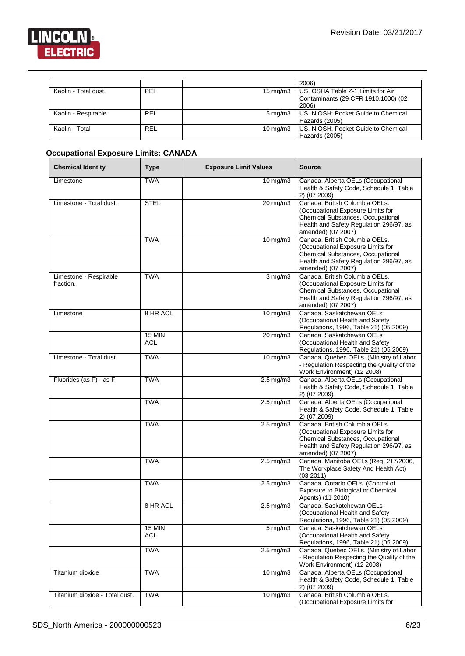

|                      |            |                     | 2006)                               |
|----------------------|------------|---------------------|-------------------------------------|
| Kaolin - Total dust. | PEL        | $15 \text{ ma/m}$ 3 | US. OSHA Table Z-1 Limits for Air   |
|                      |            |                     | Contaminants (29 CFR 1910.1000) (02 |
|                      |            |                     | 2006)                               |
| Kaolin - Respirable. | <b>REL</b> | $5 \text{ mg/m}$ 3  | US. NIOSH: Pocket Guide to Chemical |
|                      |            |                     | Hazards (2005)                      |
| Kaolin - Total       | <b>REL</b> | $10 \text{ mg/m}$   | US. NIOSH: Pocket Guide to Chemical |
|                      |            |                     | Hazards (2005)                      |

# **Occupational Exposure Limits: CANADA**

| <b>Chemical Identity</b>            | <b>Type</b>                 | <b>Exposure Limit Values</b> | <b>Source</b>                                                                                                                                                             |  |
|-------------------------------------|-----------------------------|------------------------------|---------------------------------------------------------------------------------------------------------------------------------------------------------------------------|--|
| Limestone                           | <b>TWA</b>                  | 10 mg/m3                     | Canada. Alberta OELs (Occupational<br>Health & Safety Code, Schedule 1, Table<br>2) (07 2009)                                                                             |  |
| Limestone - Total dust.             | <b>STEL</b>                 | $20 \text{ mg/m}$ 3          | Canada. British Columbia OELs.<br>(Occupational Exposure Limits for<br>Chemical Substances, Occupational<br>Health and Safety Regulation 296/97, as<br>amended) (07 2007) |  |
|                                     | <b>TWA</b>                  | $10 \text{ mg/m}$            | Canada. British Columbia OELs.<br>(Occupational Exposure Limits for<br>Chemical Substances, Occupational<br>Health and Safety Regulation 296/97, as<br>amended) (07 2007) |  |
| Limestone - Respirable<br>fraction. | <b>TWA</b>                  | $3$ mg/m $3$                 | Canada, British Columbia OELs.<br>(Occupational Exposure Limits for<br>Chemical Substances, Occupational<br>Health and Safety Regulation 296/97, as<br>amended) (07 2007) |  |
| Limestone                           | 8 HR ACL                    | $10 \text{ mg/m}$            | Canada. Saskatchewan OELs<br>(Occupational Health and Safety<br>Regulations, 1996, Table 21) (05 2009)                                                                    |  |
|                                     | <b>15 MIN</b><br>ACL        | $20 \text{ mg/m}$            | Canada. Saskatchewan OELs<br>(Occupational Health and Safety<br>Regulations, 1996, Table 21) (05 2009)                                                                    |  |
| Limestone - Total dust.             | <b>TWA</b>                  | $10 \text{ mg/m}$            | Canada. Quebec OELs. (Ministry of Labor<br>- Regulation Respecting the Quality of the<br>Work Environment) (12 2008)                                                      |  |
| Fluorides (as F) - as F             | <b>TWA</b>                  | $2.5$ mg/m $3$               | Canada. Alberta OELs (Occupational<br>Health & Safety Code, Schedule 1, Table<br>2) (07 2009)                                                                             |  |
|                                     | <b>TWA</b>                  | $2.5$ mg/m $3$               | Canada. Alberta OELs (Occupational<br>Health & Safety Code, Schedule 1, Table<br>2) (07 2009)                                                                             |  |
|                                     | <b>TWA</b>                  | $2.5$ mg/m $3$               | Canada. British Columbia OELs.<br>(Occupational Exposure Limits for<br>Chemical Substances, Occupational<br>Health and Safety Regulation 296/97, as<br>amended) (07 2007) |  |
|                                     | <b>TWA</b>                  | $2.5$ mg/m $3$               | Canada. Manitoba OELs (Reg. 217/2006,<br>The Workplace Safety And Health Act)<br>(03 2011)                                                                                |  |
|                                     | <b>TWA</b>                  | $2.5$ mg/m $3$               | Canada. Ontario OELs. (Control of<br>Exposure to Biological or Chemical<br>Agents) (11 2010)                                                                              |  |
|                                     | 8 HR ACL                    | $2.5 \text{ mg/m}$ 3         | Canada. Saskatchewan OELs<br>(Occupational Health and Safety<br>Regulations, 1996, Table 21) (05 2009)                                                                    |  |
|                                     | <b>15 MIN</b><br><b>ACL</b> | $5 \text{ mg/m}$             | Canada. Saskatchewan OELs<br>(Occupational Health and Safety<br>Regulations, 1996, Table 21) (05 2009)                                                                    |  |
|                                     | <b>TWA</b>                  | $2.5$ mg/m $3$               | Canada. Quebec OELs. (Ministry of Labor<br>- Regulation Respecting the Quality of the<br>Work Environment) (12 2008)                                                      |  |
| Titanium dioxide                    | <b>TWA</b>                  | $10 \text{ mg/m}$            | Canada. Alberta OELs (Occupational<br>Health & Safety Code, Schedule 1, Table<br>2) (07 2009)                                                                             |  |
| Titanium dioxide - Total dust.      | <b>TWA</b>                  | 10 mg/m3                     | Canada. British Columbia OELs.<br>(Occupational Exposure Limits for                                                                                                       |  |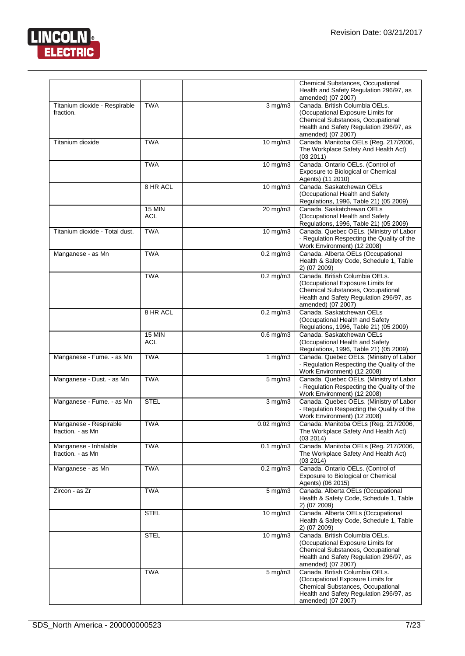

|                                             |                             |                      | Chemical Substances, Occupational<br>Health and Safety Regulation 296/97, as<br>amended) (07 2007)                                                                        |
|---------------------------------------------|-----------------------------|----------------------|---------------------------------------------------------------------------------------------------------------------------------------------------------------------------|
| Titanium dioxide - Respirable<br>fraction.  | <b>TWA</b>                  | $3$ mg/m $3$         | Canada, British Columbia OELs.<br>(Occupational Exposure Limits for<br>Chemical Substances, Occupational<br>Health and Safety Regulation 296/97, as<br>amended) (07 2007) |
| Titanium dioxide                            | <b>TWA</b>                  | $10 \text{ mg/m}$    | Canada. Manitoba OELs (Reg. 217/2006,<br>The Workplace Safety And Health Act)<br>(03 2011)                                                                                |
|                                             | <b>TWA</b>                  | 10 mg/m3             | Canada. Ontario OELs. (Control of<br>Exposure to Biological or Chemical<br>Agents) (11 2010)                                                                              |
|                                             | 8 HR ACL                    | $10$ mg/m $3$        | Canada. Saskatchewan OELs<br>(Occupational Health and Safety<br>Regulations, 1996, Table 21) (05 2009)                                                                    |
|                                             | <b>15 MIN</b><br>ACL        | 20 mg/m3             | Canada, Saskatchewan OELs<br>(Occupational Health and Safety<br>Regulations, 1996, Table 21) (05 2009)                                                                    |
| Titanium dioxide - Total dust.              | <b>TWA</b>                  | 10 mg/m3             | Canada. Quebec OELs. (Ministry of Labor<br>- Regulation Respecting the Quality of the<br>Work Environment) (12 2008)                                                      |
| Manganese - as Mn                           | <b>TWA</b>                  | $0.2$ mg/m $3$       | Canada. Alberta OELs (Occupational<br>Health & Safety Code, Schedule 1, Table<br>2) (07 2009)                                                                             |
|                                             | <b>TWA</b>                  | $0.2 \text{ mg/m}$ 3 | Canada. British Columbia OELs.<br>(Occupational Exposure Limits for<br>Chemical Substances, Occupational<br>Health and Safety Regulation 296/97, as<br>amended) (07 2007) |
|                                             | 8 HR ACL                    | $0.2$ mg/m $3$       | Canada. Saskatchewan OELs<br>(Occupational Health and Safety<br>Regulations, 1996, Table 21) (05 2009)                                                                    |
|                                             | <b>15 MIN</b><br><b>ACL</b> | $0.6$ mg/m $3$       | Canada. Saskatchewan OELs<br>(Occupational Health and Safety<br>Regulations, 1996, Table 21) (05 2009)                                                                    |
| Manganese - Fume. - as Mn                   | <b>TWA</b>                  | 1 $mg/m3$            | Canada. Quebec OELs. (Ministry of Labor<br>- Regulation Respecting the Quality of the<br>Work Environment) (12 2008)                                                      |
| Manganese - Dust. - as Mn                   | <b>TWA</b>                  | $5 \text{ mg/m}$     | Canada. Quebec OELs. (Ministry of Labor<br>- Regulation Respecting the Quality of the<br>Work Environment) (12 2008)                                                      |
| Manganese - Fume. - as Mn                   | <b>STEL</b>                 | $3$ mg/m $3$         | Canada. Quebec OELs. (Ministry of Labor<br>- Regulation Respecting the Quality of the<br>Work Environment) (12 2008)                                                      |
| Manganese - Respirable<br>fraction. - as Mn | <b>TWA</b>                  | $0.02$ mg/m $3$      | Canada. Manitoba OELs (Reg. 217/2006,<br>The Workplace Safety And Health Act)<br>(03 2014)                                                                                |
| Manganese - Inhalable<br>fraction. - as Mn  | <b>TWA</b>                  | $0.1$ mg/m $3$       | Canada. Manitoba OELs (Reg. 217/2006,<br>The Workplace Safety And Health Act)<br>(03 2014)                                                                                |
| Manganese - as Mn                           | <b>TWA</b>                  | $0.2$ mg/m3          | Canada. Ontario OELs. (Control of<br>Exposure to Biological or Chemical<br>Agents) (06 2015)                                                                              |
| Zircon - as Zr                              | <b>TWA</b>                  | $5 \,\mathrm{mg/m}$  | Canada. Alberta OELs (Occupational<br>Health & Safety Code, Schedule 1, Table<br>2) (07 2009)                                                                             |
|                                             | <b>STEL</b>                 | $10$ mg/m $3$        | Canada. Alberta OELs (Occupational<br>Health & Safety Code, Schedule 1, Table<br>2) (07 2009)                                                                             |
|                                             | <b>STEL</b>                 | $10$ mg/m $3$        | Canada. British Columbia OELs.<br>(Occupational Exposure Limits for<br>Chemical Substances, Occupational<br>Health and Safety Regulation 296/97, as<br>amended) (07 2007) |
|                                             | <b>TWA</b>                  | $5 \text{ mg/m}$     | Canada. British Columbia OELs.<br>(Occupational Exposure Limits for<br>Chemical Substances, Occupational<br>Health and Safety Regulation 296/97, as<br>amended) (07 2007) |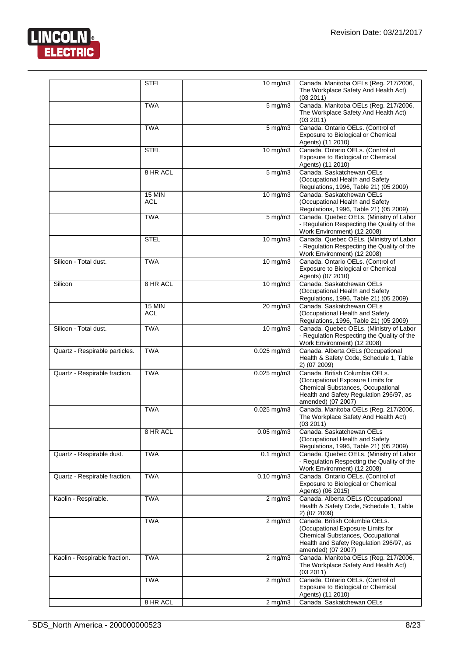

|                                | <b>STEL</b>                 | 10 mg/m3                | Canada. Manitoba OELs (Reg. 217/2006,<br>The Workplace Safety And Health Act)<br>(03 2011)                                                                                |
|--------------------------------|-----------------------------|-------------------------|---------------------------------------------------------------------------------------------------------------------------------------------------------------------------|
|                                | <b>TWA</b>                  | $5$ mg/m $3$            | Canada. Manitoba OELs (Reg. 217/2006,<br>The Workplace Safety And Health Act)<br>(03 2011)                                                                                |
|                                | <b>TWA</b>                  | $5$ mg/m $3$            | Canada. Ontario OELs. (Control of<br>Exposure to Biological or Chemical<br>Agents) (11 2010)                                                                              |
|                                | <b>STEL</b>                 | 10 mg/m3                | Canada. Ontario OELs. (Control of<br>Exposure to Biological or Chemical<br>Agents) (11 2010)                                                                              |
|                                | 8 HR ACL                    | $5$ mg/m $3$            | Canada, Saskatchewan OELs<br>(Occupational Health and Safety<br>Regulations, 1996, Table 21) (05 2009)                                                                    |
|                                | <b>15 MIN</b><br><b>ACL</b> | $10$ mg/m $3$           | Canada. Saskatchewan OELs<br>(Occupational Health and Safety<br>Regulations, 1996, Table 21) (05 2009)                                                                    |
|                                | <b>TWA</b>                  | $5 \,\mathrm{mg/m}$     | Canada. Quebec OELs. (Ministry of Labor<br>- Regulation Respecting the Quality of the<br>Work Environment) (12 2008)                                                      |
|                                | <b>STEL</b>                 | 10 mg/m3                | Canada. Quebec OELs. (Ministry of Labor<br>- Regulation Respecting the Quality of the<br>Work Environment) (12 2008)                                                      |
| Silicon - Total dust.          | <b>TWA</b>                  | $10$ mg/m $3$           | Canada. Ontario OELs. (Control of<br>Exposure to Biological or Chemical<br>Agents) (07 2010)                                                                              |
| Silicon                        | 8 HR ACL                    | $10$ mg/m $3$           | Canada, Saskatchewan OELs<br>(Occupational Health and Safety<br>Regulations, 1996, Table 21) (05 2009)                                                                    |
|                                | <b>15 MIN</b><br><b>ACL</b> | 20 mg/m3                | Canada. Saskatchewan OELs<br>(Occupational Health and Safety<br>Regulations, 1996, Table 21) (05 2009)                                                                    |
| Silicon - Total dust.          | <b>TWA</b>                  | 10 mg/m3                | Canada. Quebec OELs. (Ministry of Labor<br>- Regulation Respecting the Quality of the<br>Work Environment) (12 2008)                                                      |
| Quartz - Respirable particles. | <b>TWA</b>                  | $0.025$ mg/m3           | Canada. Alberta OELs (Occupational<br>Health & Safety Code, Schedule 1, Table<br>2) (07 2009)                                                                             |
| Quartz - Respirable fraction.  | <b>TWA</b>                  | $0.025$ mg/m $3$        | Canada. British Columbia OELs.<br>(Occupational Exposure Limits for<br>Chemical Substances, Occupational<br>Health and Safety Regulation 296/97, as<br>amended) (07 2007) |
|                                | <b>TWA</b>                  | $0.025$ mg/m3           | Canada. Manitoba OELs (Reg. 217/2006,<br>The Workplace Safety And Health Act)<br>(03 2011)                                                                                |
|                                | 8 HR ACL                    | $0.05$ mg/m3            | Canada, Saskatchewan OELs<br>(Occupational Health and Safety<br>Regulations, 1996, Table 21) (05 2009)                                                                    |
| Quartz - Respirable dust.      | <b>TWA</b>                  | $0.1$ mg/m $3$          | Canada. Quebec OELs. (Ministry of Labor<br>- Regulation Respecting the Quality of the<br>Work Environment) (12 2008)                                                      |
| Quartz - Respirable fraction.  | <b>TWA</b>                  | $\overline{0.10}$ mg/m3 | Canada. Ontario OELs. (Control of<br>Exposure to Biological or Chemical<br>Agents) (06 2015)                                                                              |
| Kaolin - Respirable.           | <b>TWA</b>                  | $2$ mg/m $3$            | Canada. Alberta OELs (Occupational<br>Health & Safety Code, Schedule 1, Table<br>2) (07 2009)                                                                             |
|                                | <b>TWA</b>                  | $2$ mg/m $3$            | Canada. British Columbia OELs.<br>(Occupational Exposure Limits for<br>Chemical Substances, Occupational<br>Health and Safety Regulation 296/97, as<br>amended) (07 2007) |
| Kaolin - Respirable fraction.  | <b>TWA</b>                  | $2$ mg/m $3$            | Canada. Manitoba OELs (Reg. 217/2006,<br>The Workplace Safety And Health Act)<br>(03 2011)                                                                                |
|                                | <b>TWA</b>                  | $2$ mg/m $3$            | Canada. Ontario OELs. (Control of<br>Exposure to Biological or Chemical<br>Agents) (11 2010)                                                                              |
|                                | 8 HR ACL                    | $2$ mg/m $3$            | Canada. Saskatchewan OELs                                                                                                                                                 |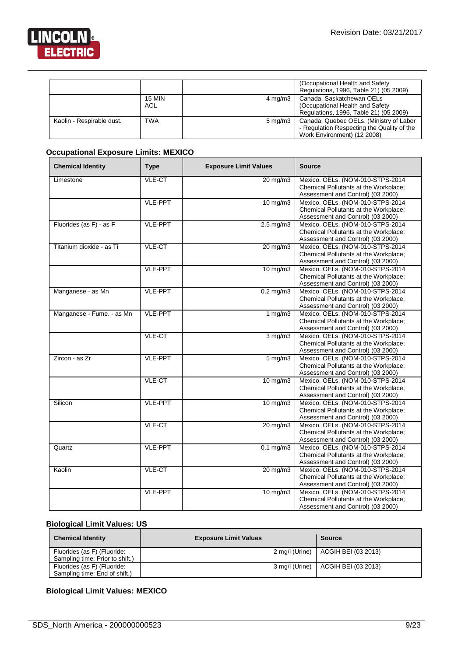$\overline{\phantom{a}}$ 

![](_page_8_Picture_1.jpeg)

|                           |                      |                     | (Occupational Health and Safety)<br>Regulations, 1996, Table 21) (05 2009)                                           |
|---------------------------|----------------------|---------------------|----------------------------------------------------------------------------------------------------------------------|
|                           | <b>15 MIN</b><br>ACL | $4 \text{ mg/m}$ 3  | Canada. Saskatchewan OELs<br>(Occupational Health and Safety)<br>Regulations, 1996, Table 21) (05 2009)              |
| Kaolin - Respirable dust. | <b>TWA</b>           | $5 \,\mathrm{mq/m}$ | Canada. Quebec OELs. (Ministry of Labor<br>- Regulation Respecting the Quality of the<br>Work Environment) (12 2008) |

# **Occupational Exposure Limits: MEXICO**

| <b>Chemical Identity</b>  | <b>Type</b>    | <b>Exposure Limit Values</b> | <b>Source</b>                                                                                                  |
|---------------------------|----------------|------------------------------|----------------------------------------------------------------------------------------------------------------|
| Limestone                 | VLE-CT         | $20$ mg/m $3$                | Mexico. OELs. (NOM-010-STPS-2014<br>Chemical Pollutants at the Workplace;<br>Assessment and Control) (03 2000) |
|                           | <b>VLE-PPT</b> | $10$ mg/m $3$                | Mexico. OELs. (NOM-010-STPS-2014<br>Chemical Pollutants at the Workplace;<br>Assessment and Control) (03 2000) |
| Fluorides (as F) - as F   | <b>VLE-PPT</b> | $2.5 \text{ mg/m}$           | Mexico. OELs. (NOM-010-STPS-2014<br>Chemical Pollutants at the Workplace;<br>Assessment and Control) (03 2000) |
| Titanium dioxide - as Ti  | VLE-CT         | 20 mg/m3                     | Mexico. OELs. (NOM-010-STPS-2014<br>Chemical Pollutants at the Workplace;<br>Assessment and Control) (03 2000) |
|                           | <b>VLE-PPT</b> | $10$ mg/m $3$                | Mexico. OELs. (NOM-010-STPS-2014<br>Chemical Pollutants at the Workplace;<br>Assessment and Control) (03 2000) |
| Manganese - as Mn         | <b>VLE-PPT</b> | $0.2$ mg/m $3$               | Mexico. OELs. (NOM-010-STPS-2014<br>Chemical Pollutants at the Workplace;<br>Assessment and Control) (03 2000) |
| Manganese - Fume. - as Mn | VLE-PPT        | 1 $mg/m3$                    | Mexico. OELs. (NOM-010-STPS-2014<br>Chemical Pollutants at the Workplace;<br>Assessment and Control) (03 2000) |
|                           | VLE-CT         | $3$ mg/m $3$                 | Mexico. OELs. (NOM-010-STPS-2014<br>Chemical Pollutants at the Workplace;<br>Assessment and Control) (03 2000) |
| Zircon - as Zr            | <b>VLE-PPT</b> | $5$ mg/m $3$                 | Mexico. OELs. (NOM-010-STPS-2014<br>Chemical Pollutants at the Workplace;<br>Assessment and Control) (03 2000) |
|                           | VLE-CT         | $10$ mg/m $3$                | Mexico. OELs. (NOM-010-STPS-2014<br>Chemical Pollutants at the Workplace;<br>Assessment and Control) (03 2000) |
| Silicon                   | <b>VLE-PPT</b> | $10$ mg/m $3$                | Mexico. OELs. (NOM-010-STPS-2014<br>Chemical Pollutants at the Workplace;<br>Assessment and Control) (03 2000) |
|                           | VLE-CT         | $20 \,\mathrm{mg/m}$         | Mexico. OELs. (NOM-010-STPS-2014<br>Chemical Pollutants at the Workplace;<br>Assessment and Control) (03 2000) |
| Quartz                    | <b>VLE-PPT</b> | $0.1$ mg/m $3$               | Mexico. OELs. (NOM-010-STPS-2014<br>Chemical Pollutants at the Workplace;<br>Assessment and Control) (03 2000) |
| Kaolin                    | VLE-CT         | $20 \text{ mg/m}$ 3          | Mexico. OELs. (NOM-010-STPS-2014<br>Chemical Pollutants at the Workplace;<br>Assessment and Control) (03 2000) |
|                           | <b>VLE-PPT</b> | 10 mg/m3                     | Mexico. OELs. (NOM-010-STPS-2014<br>Chemical Pollutants at the Workplace;<br>Assessment and Control) (03 2000) |

# **Biological Limit Values: US**

| <b>Chemical Identity</b>        | <b>Exposure Limit Values</b> | <b>Source</b>                        |
|---------------------------------|------------------------------|--------------------------------------|
| Fluorides (as F) (Fluoride:     |                              | 2 mg/l (Urine)   ACGIH BEI (03 2013) |
| Sampling time: Prior to shift.) |                              |                                      |
| Fluorides (as F) (Fluoride:     |                              | 3 mg/l (Urine)   ACGIH BEI (03 2013) |
| Sampling time: End of shift.)   |                              |                                      |

# **Biological Limit Values: MEXICO**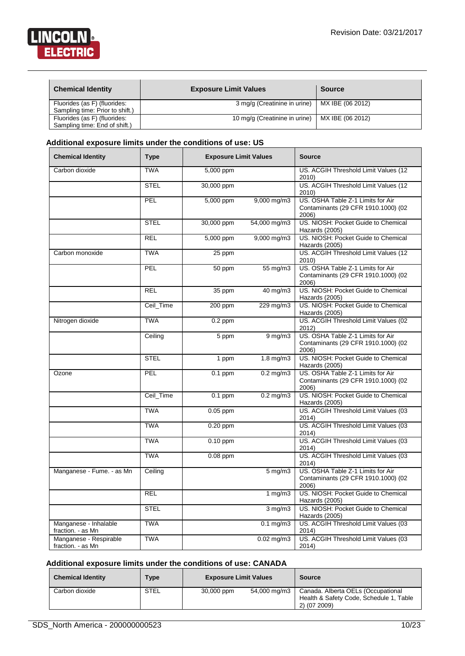![](_page_9_Picture_1.jpeg)

| <b>Chemical Identity</b>        | <b>Exposure Limit Values</b>  | Source           |
|---------------------------------|-------------------------------|------------------|
| Fluorides (as F) (fluorides:    | 3 mg/g (Creatinine in urine)  | MX IBE (06 2012) |
| Sampling time: Prior to shift.) |                               |                  |
| Fluorides (as F) (fluorides:    | 10 mg/g (Creatinine in urine) | MX IBE (06 2012) |
| Sampling time: End of shift.)   |                               |                  |

#### **Additional exposure limits under the conditions of use: US**

| <b>Chemical Identity</b>                    | <b>Type</b> | <b>Exposure Limit Values</b> |                 | <b>Source</b>                                                                     |
|---------------------------------------------|-------------|------------------------------|-----------------|-----------------------------------------------------------------------------------|
| Carbon dioxide                              | <b>TWA</b>  | 5,000 ppm                    |                 | US. ACGIH Threshold Limit Values (12<br>2010)                                     |
|                                             | <b>STEL</b> | 30,000 ppm                   |                 | US. ACGIH Threshold Limit Values (12<br>2010)                                     |
|                                             | <b>PEL</b>  | 5,000 ppm                    | 9,000 mg/m3     | US. OSHA Table Z-1 Limits for Air<br>Contaminants (29 CFR 1910.1000) (02<br>2006) |
|                                             | <b>STEL</b> | 30,000 ppm                   | 54,000 mg/m3    | US. NIOSH: Pocket Guide to Chemical<br>Hazards (2005)                             |
|                                             | <b>REL</b>  | 5,000 ppm                    | 9,000 mg/m3     | US. NIOSH: Pocket Guide to Chemical<br>Hazards (2005)                             |
| Carbon monoxide                             | <b>TWA</b>  | 25 ppm                       |                 | US. ACGIH Threshold Limit Values (12<br>2010)                                     |
|                                             | PEL         | 50 ppm                       | 55 mg/m3        | US. OSHA Table Z-1 Limits for Air<br>Contaminants (29 CFR 1910.1000) (02<br>2006) |
|                                             | <b>REL</b>  | $35$ ppm                     | 40 mg/m3        | US. NIOSH: Pocket Guide to Chemical<br>Hazards (2005)                             |
|                                             | Ceil Time   | $200$ ppm                    | 229 mg/m3       | US. NIOSH: Pocket Guide to Chemical<br>Hazards (2005)                             |
| Nitrogen dioxide                            | <b>TWA</b>  | $0.2$ ppm                    |                 | US. ACGIH Threshold Limit Values (02<br>2012)                                     |
|                                             | Ceiling     | 5 ppm                        | $9$ mg/m $3$    | US. OSHA Table Z-1 Limits for Air<br>Contaminants (29 CFR 1910.1000) (02<br>2006) |
|                                             | <b>STEL</b> | 1 ppm                        | $1.8$ mg/m $3$  | US. NIOSH: Pocket Guide to Chemical<br>Hazards (2005)                             |
| Ozone                                       | PEL         | $0.1$ ppm                    | $0.2$ mg/m $3$  | US. OSHA Table Z-1 Limits for Air<br>Contaminants (29 CFR 1910.1000) (02<br>2006) |
|                                             | Ceil_Time   | $0.1$ ppm                    | $0.2$ mg/m $3$  | US. NIOSH: Pocket Guide to Chemical<br>Hazards (2005)                             |
|                                             | <b>TWA</b>  | $0.05$ ppm                   |                 | US. ACGIH Threshold Limit Values (03<br>2014)                                     |
|                                             | <b>TWA</b>  | $0.20$ ppm                   |                 | US. ACGIH Threshold Limit Values (03<br>2014)                                     |
|                                             | <b>TWA</b>  | $0.10$ ppm                   |                 | US. ACGIH Threshold Limit Values (03<br>2014)                                     |
|                                             | <b>TWA</b>  | $0.08$ ppm                   |                 | US. ACGIH Threshold Limit Values (03<br>2014)                                     |
| Manganese - Fume. - as Mn                   | Ceiling     |                              | $5$ mg/m $3$    | US. OSHA Table Z-1 Limits for Air<br>Contaminants (29 CFR 1910.1000) (02<br>2006) |
|                                             | <b>REL</b>  |                              | 1 mg/m3         | US. NIOSH: Pocket Guide to Chemical<br>Hazards (2005)                             |
|                                             | <b>STEL</b> |                              | $3$ mg/m $3$    | US. NIOSH: Pocket Guide to Chemical<br>Hazards (2005)                             |
| Manganese - Inhalable<br>fraction. - as Mn  | <b>TWA</b>  |                              | $0.1$ mg/m $3$  | US. ACGIH Threshold Limit Values (03<br>2014)                                     |
| Manganese - Respirable<br>fraction. - as Mn | <b>TWA</b>  |                              | $0.02$ mg/m $3$ | US. ACGIH Threshold Limit Values (03<br>2014)                                     |

# **Additional exposure limits under the conditions of use: CANADA**

| <b>Chemical Identity</b> | <b>Type</b> | <b>Exposure Limit Values</b> |              | <b>Source</b>                                                                                 |
|--------------------------|-------------|------------------------------|--------------|-----------------------------------------------------------------------------------------------|
| Carbon dioxide           | <b>STEL</b> | 30,000 ppm                   | 54,000 mg/m3 | Canada. Alberta OELs (Occupational<br>Health & Safety Code, Schedule 1, Table<br>2) (07 2009) |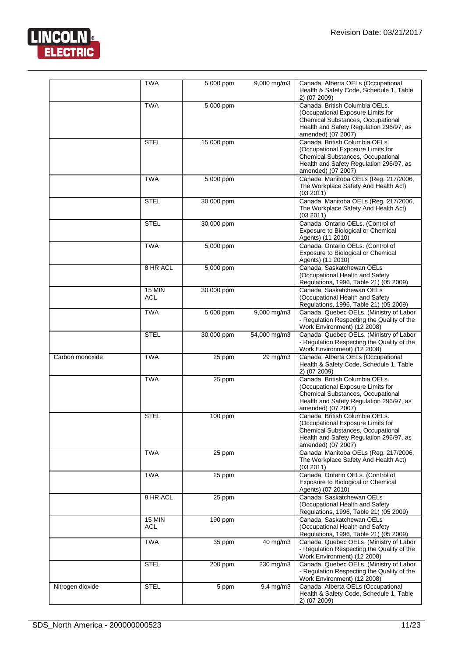![](_page_10_Picture_1.jpeg)

|                  | <b>TWA</b>           | 5,000 ppm  | 9,000 mg/m3    | Canada. Alberta OELs (Occupational<br>Health & Safety Code, Schedule 1, Table<br>2) (07 2009)                                                                             |
|------------------|----------------------|------------|----------------|---------------------------------------------------------------------------------------------------------------------------------------------------------------------------|
|                  | <b>TWA</b>           | 5,000 ppm  |                | Canada. British Columbia OELs.<br>(Occupational Exposure Limits for<br>Chemical Substances, Occupational<br>Health and Safety Regulation 296/97, as<br>amended) (07 2007) |
|                  | <b>STEL</b>          | 15,000 ppm |                | Canada. British Columbia OELs.<br>(Occupational Exposure Limits for<br>Chemical Substances, Occupational<br>Health and Safety Regulation 296/97, as<br>amended) (07 2007) |
|                  | <b>TWA</b>           | 5,000 ppm  |                | Canada. Manitoba OELs (Reg. 217/2006,<br>The Workplace Safety And Health Act)<br>(03 2011)                                                                                |
|                  | <b>STEL</b>          | 30,000 ppm |                | Canada. Manitoba OELs (Reg. 217/2006,<br>The Workplace Safety And Health Act)<br>(03 2011)                                                                                |
|                  | <b>STEL</b>          | 30,000 ppm |                | Canada. Ontario OELs. (Control of<br>Exposure to Biological or Chemical<br>Agents) (11 2010)                                                                              |
|                  | <b>TWA</b>           | 5,000 ppm  |                | Canada. Ontario OELs. (Control of<br>Exposure to Biological or Chemical<br>Agents) (11 2010)                                                                              |
|                  | 8 HR ACL             | 5,000 ppm  |                | Canada. Saskatchewan OELs<br>(Occupational Health and Safety<br>Regulations, 1996, Table 21) (05 2009)                                                                    |
|                  | <b>15 MIN</b><br>ACL | 30,000 ppm |                | Canada, Saskatchewan OELs<br>(Occupational Health and Safety<br>Regulations, 1996, Table 21) (05 2009)                                                                    |
|                  | <b>TWA</b>           | 5,000 ppm  | 9,000 mg/m3    | Canada. Quebec OELs. (Ministry of Labor<br>- Regulation Respecting the Quality of the<br>Work Environment) (12 2008)                                                      |
|                  | <b>STEL</b>          | 30,000 ppm | 54,000 mg/m3   | Canada. Quebec OELs. (Ministry of Labor<br>- Regulation Respecting the Quality of the<br>Work Environment) (12 2008)                                                      |
| Carbon monoxide  | <b>TWA</b>           | 25 ppm     | 29 mg/m3       | Canada. Alberta OELs (Occupational<br>Health & Safety Code, Schedule 1, Table<br>2) (07 2009)                                                                             |
|                  | <b>TWA</b>           | 25 ppm     |                | Canada. British Columbia OELs.<br>(Occupational Exposure Limits for<br>Chemical Substances, Occupational<br>Health and Safety Regulation 296/97, as<br>amended) (07 2007) |
|                  | <b>STEL</b>          | 100 ppm    |                | Canada. British Columbia OELs.<br>(Occupational Exposure Limits for<br>Chemical Substances, Occupational<br>Health and Safety Regulation 296/97, as<br>amended) (07 2007) |
|                  | <b>TWA</b>           | 25 ppm     |                | Canada. Manitoba OELs (Reg. 217/2006,<br>The Workplace Safety And Health Act)<br>(03 2011)                                                                                |
|                  | <b>TWA</b>           | 25 ppm     |                | Canada. Ontario OELs. (Control of<br>Exposure to Biological or Chemical<br>Agents) (07 2010)                                                                              |
|                  | 8 HR ACL             | 25 ppm     |                | Canada. Saskatchewan OELs<br>(Occupational Health and Safety<br>Regulations, 1996, Table 21) (05 2009)                                                                    |
|                  | $15$ MIN<br>ACL      | 190 ppm    |                | Canada. Saskatchewan OELs<br>(Occupational Health and Safety<br>Regulations, 1996, Table 21) (05 2009)                                                                    |
|                  | <b>TWA</b>           | 35 ppm     | 40 mg/m3       | Canada. Quebec OELs. (Ministry of Labor<br>- Regulation Respecting the Quality of the<br>Work Environment) (12 2008)                                                      |
|                  | <b>STEL</b>          | 200 ppm    | 230 mg/m3      | Canada. Quebec OELs. (Ministry of Labor<br>- Regulation Respecting the Quality of the<br>Work Environment) (12 2008)                                                      |
| Nitrogen dioxide | STEL                 | 5 ppm      | $9.4$ mg/m $3$ | Canada. Alberta OELs (Occupational<br>Health & Safety Code, Schedule 1, Table<br>2) (07 2009)                                                                             |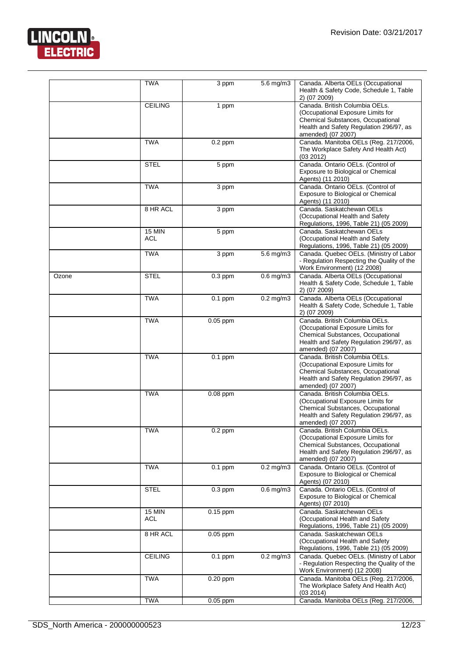![](_page_11_Picture_1.jpeg)

|       | <b>TWA</b>             | 3 ppm              | $5.6$ mg/m $3$ | Canada. Alberta OELs (Occupational<br>Health & Safety Code, Schedule 1, Table<br>2) (07 2009)                                                                             |
|-------|------------------------|--------------------|----------------|---------------------------------------------------------------------------------------------------------------------------------------------------------------------------|
|       | <b>CEILING</b>         | 1 ppm              |                | Canada. British Columbia OELs.<br>(Occupational Exposure Limits for<br>Chemical Substances, Occupational<br>Health and Safety Regulation 296/97, as<br>amended) (07 2007) |
|       | <b>TWA</b>             | $0.2$ ppm          |                | Canada. Manitoba OELs (Reg. 217/2006,<br>The Workplace Safety And Health Act)<br>(03 2012)                                                                                |
|       | <b>STEL</b>            | $\overline{5}$ ppm |                | Canada. Ontario OELs. (Control of<br>Exposure to Biological or Chemical<br>Agents) (11 2010)                                                                              |
|       | <b>TWA</b>             | $3$ ppm            |                | Canada. Ontario OELs. (Control of<br>Exposure to Biological or Chemical<br>Agents) (11 2010)                                                                              |
|       | 8 HR ACL               | $\overline{3}$ ppm |                | Canada. Saskatchewan OELs<br>(Occupational Health and Safety<br>Regulations, 1996, Table 21) (05 2009)                                                                    |
|       | <b>15 MIN</b><br>ACL   | 5 ppm              |                | Canada. Saskatchewan OELs<br>(Occupational Health and Safety<br>Regulations, 1996, Table 21) (05 2009)                                                                    |
|       | <b>TWA</b>             | 3 ppm              | $5.6$ mg/m $3$ | Canada. Quebec OELs. (Ministry of Labor<br>- Regulation Respecting the Quality of the<br>Work Environment) (12 2008)                                                      |
| Ozone | <b>STEL</b>            | $0.3$ ppm          | $0.6$ mg/m $3$ | Canada. Alberta OELs (Occupational<br>Health & Safety Code, Schedule 1, Table<br>2) (07 2009)                                                                             |
|       | <b>TWA</b>             | $0.1$ ppm          | $0.2$ mg/m $3$ | Canada. Alberta OELs (Occupational<br>Health & Safety Code, Schedule 1, Table<br>2) (07 2009)                                                                             |
|       | <b>TWA</b>             | 0.05 ppm           |                | Canada. British Columbia OELs.<br>(Occupational Exposure Limits for<br>Chemical Substances, Occupational<br>Health and Safety Regulation 296/97, as<br>amended) (07 2007) |
|       | <b>TWA</b>             | $0.1$ ppm          |                | Canada, British Columbia OELs.<br>(Occupational Exposure Limits for<br>Chemical Substances, Occupational<br>Health and Safety Regulation 296/97, as<br>amended) (07 2007) |
|       | <b>TWA</b>             | $0.08$ ppm         |                | Canada, British Columbia OELs.<br>(Occupational Exposure Limits for<br>Chemical Substances, Occupational<br>Health and Safety Regulation 296/97, as<br>amended) (07 2007) |
|       | TWA                    | $0.2$ ppm          |                | Canada. British Columbia OELs.<br>(Occupational Exposure Limits for<br>Chemical Substances, Occupational<br>Health and Safety Regulation 296/97, as<br>amended) (07 2007) |
|       | <b>TWA</b>             | $0.1$ ppm          | $0.2$ mg/m $3$ | Canada. Ontario OELs. (Control of<br>Exposure to Biological or Chemical<br>Agents) (07 2010)                                                                              |
|       | <b>STEL</b>            | $0.3$ ppm          | $0.6$ mg/m $3$ | Canada. Ontario OELs. (Control of<br>Exposure to Biological or Chemical<br>Agents) (07 2010)                                                                              |
|       | $15$ MIN<br><b>ACL</b> | $0.15$ ppm         |                | Canada, Saskatchewan OELs<br>(Occupational Health and Safety<br>Regulations, 1996, Table 21) (05 2009)                                                                    |
|       | 8 HR ACL               | $0.05$ ppm         |                | Canada. Saskatchewan OELs<br>(Occupational Health and Safety<br>Regulations, 1996, Table 21) (05 2009)                                                                    |
|       | <b>CEILING</b>         | $0.1$ ppm          | $0.2$ mg/m $3$ | Canada. Quebec OELs. (Ministry of Labor<br>- Regulation Respecting the Quality of the<br>Work Environment) (12 2008)                                                      |
|       | <b>TWA</b>             | 0.20 ppm           |                | Canada. Manitoba OELs (Reg. 217/2006,<br>The Workplace Safety And Health Act)<br>(03 2014)                                                                                |
|       | <b>TWA</b>             | 0.05 ppm           |                | Canada. Manitoba OELs (Reg. 217/2006,                                                                                                                                     |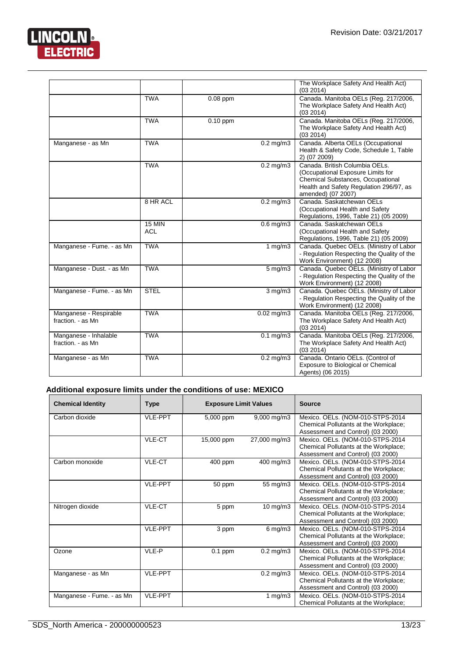![](_page_12_Picture_1.jpeg)

|                                             |                             |                         | The Workplace Safety And Health Act)<br>(03 2014)                                                                                                                                |
|---------------------------------------------|-----------------------------|-------------------------|----------------------------------------------------------------------------------------------------------------------------------------------------------------------------------|
|                                             | <b>TWA</b>                  | $0.08$ ppm              | Canada. Manitoba OELs (Reg. 217/2006,<br>The Workplace Safety And Health Act)<br>(03 2014)                                                                                       |
|                                             | <b>TWA</b>                  | $0.10$ ppm              | Canada. Manitoba OELs (Reg. 217/2006,<br>The Workplace Safety And Health Act)<br>(03 2014)                                                                                       |
| Manganese - as Mn                           | <b>TWA</b>                  | $0.2$ mg/m $3$          | Canada. Alberta OELs (Occupational<br>Health & Safety Code, Schedule 1, Table<br>2) (07 2009)                                                                                    |
|                                             | <b>TWA</b>                  | $0.2 \,\mathrm{mg/m}$ 3 | Canada, British Columbia OELs.<br>(Occupational Exposure Limits for<br><b>Chemical Substances, Occupational</b><br>Health and Safety Regulation 296/97, as<br>amended) (07 2007) |
|                                             | 8 HR ACL                    | $0.2$ mg/m $3$          | Canada, Saskatchewan OELs<br>(Occupational Health and Safety<br>Regulations, 1996, Table 21) (05 2009)                                                                           |
|                                             | <b>15 MIN</b><br><b>ACL</b> | $0.6$ mg/m $3$          | Canada, Saskatchewan OELs<br>(Occupational Health and Safety)<br>Regulations, 1996, Table 21) (05 2009)                                                                          |
| Manganese - Fume. - as Mn                   | <b>TWA</b>                  | 1 mg/m3                 | Canada. Quebec OELs. (Ministry of Labor<br>- Regulation Respecting the Quality of the<br>Work Environment) (12 2008)                                                             |
| Manganese - Dust. - as Mn                   | <b>TWA</b>                  | $5 \,\mathrm{mg/m}$     | Canada. Quebec OELs. (Ministry of Labor<br>- Regulation Respecting the Quality of the<br>Work Environment) (12 2008)                                                             |
| Manganese - Fume. - as Mn                   | <b>STEL</b>                 | $3$ mg/m $3$            | Canada. Quebec OELs. (Ministry of Labor<br>- Regulation Respecting the Quality of the<br>Work Environment) (12 2008)                                                             |
| Manganese - Respirable<br>fraction. - as Mn | <b>TWA</b>                  | $0.02$ mg/m $3$         | Canada. Manitoba OELs (Reg. 217/2006,<br>The Workplace Safety And Health Act)<br>(03 2014)                                                                                       |
| Manganese - Inhalable<br>fraction. - as Mn  | <b>TWA</b>                  | $0.1 \text{ mg/m}$      | Canada. Manitoba OELs (Reg. 217/2006,<br>The Workplace Safety And Health Act)<br>(03 2014)                                                                                       |
| Manganese - as Mn                           | <b>TWA</b>                  | $0.2$ mg/m $3$          | Canada. Ontario OELs. (Control of<br>Exposure to Biological or Chemical<br>Agents) (06 2015)                                                                                     |

# **Additional exposure limits under the conditions of use: MEXICO**

| <b>Chemical Identity</b>  | <b>Type</b>    | <b>Exposure Limit Values</b> |                     | Source                                                                                                         |
|---------------------------|----------------|------------------------------|---------------------|----------------------------------------------------------------------------------------------------------------|
| Carbon dioxide            | <b>VLE-PPT</b> | 5,000 ppm                    | $9,000$ mg/m $3$    | Mexico. OELs. (NOM-010-STPS-2014<br>Chemical Pollutants at the Workplace;<br>Assessment and Control) (03 2000) |
|                           | VLE-CT         | 15,000 ppm                   | 27,000 mg/m3        | Mexico. OELs. (NOM-010-STPS-2014<br>Chemical Pollutants at the Workplace;<br>Assessment and Control) (03 2000) |
| Carbon monoxide           | VLE-CT         | 400 ppm                      | 400 mg/m3           | Mexico. OELs. (NOM-010-STPS-2014<br>Chemical Pollutants at the Workplace;<br>Assessment and Control) (03 2000) |
|                           | <b>VLE-PPT</b> | 50 ppm                       | 55 mg/m3            | Mexico. OELs. (NOM-010-STPS-2014<br>Chemical Pollutants at the Workplace;<br>Assessment and Control) (03 2000) |
| Nitrogen dioxide          | VLE-CT         | 5 ppm                        | $10$ mg/m $3$       | Mexico. OELs. (NOM-010-STPS-2014<br>Chemical Pollutants at the Workplace;<br>Assessment and Control) (03 2000) |
|                           | <b>VLE-PPT</b> | 3 ppm                        | $6 \,\mathrm{mg/m}$ | Mexico. OELs. (NOM-010-STPS-2014<br>Chemical Pollutants at the Workplace;<br>Assessment and Control) (03 2000) |
| Ozone                     | VLE-P          | $0.1$ ppm                    | $0.2$ mg/m $3$      | Mexico. OELs. (NOM-010-STPS-2014<br>Chemical Pollutants at the Workplace;<br>Assessment and Control) (03 2000) |
| Manganese - as Mn         | <b>VLE-PPT</b> |                              | $0.2$ mg/m $3$      | Mexico. OELs. (NOM-010-STPS-2014<br>Chemical Pollutants at the Workplace;<br>Assessment and Control) (03 2000) |
| Manganese - Fume. - as Mn | <b>VLE-PPT</b> |                              | 1 $mg/m3$           | Mexico. OELs. (NOM-010-STPS-2014<br>Chemical Pollutants at the Workplace;                                      |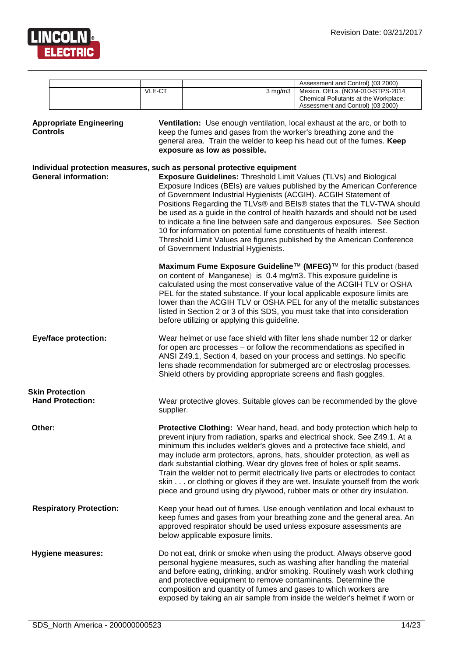![](_page_13_Picture_1.jpeg)

|                 |                                                   |           |                                                                                                                                                                                                                                                                                                                                       | Assessment and Control) (03 2000)                                                                                                                                                                                                                                                                                                                                                                                                                                                 |
|-----------------|---------------------------------------------------|-----------|---------------------------------------------------------------------------------------------------------------------------------------------------------------------------------------------------------------------------------------------------------------------------------------------------------------------------------------|-----------------------------------------------------------------------------------------------------------------------------------------------------------------------------------------------------------------------------------------------------------------------------------------------------------------------------------------------------------------------------------------------------------------------------------------------------------------------------------|
|                 |                                                   | VLE-CT    | $3$ mg/m $3$                                                                                                                                                                                                                                                                                                                          | Mexico. OELs. (NOM-010-STPS-2014<br>Chemical Pollutants at the Workplace;<br>Assessment and Control) (03 2000)                                                                                                                                                                                                                                                                                                                                                                    |
| <b>Controls</b> | <b>Appropriate Engineering</b>                    |           | Ventilation: Use enough ventilation, local exhaust at the arc, or both to<br>keep the fumes and gases from the worker's breathing zone and the<br>general area. Train the welder to keep his head out of the fumes. Keep<br>exposure as low as possible.                                                                              |                                                                                                                                                                                                                                                                                                                                                                                                                                                                                   |
|                 | <b>General information:</b>                       |           | Individual protection measures, such as personal protective equipment<br><b>Exposure Guidelines: Threshold Limit Values (TLVs) and Biological</b><br>of Government Industrial Hygienists (ACGIH). ACGIH Statement of<br>10 for information on potential fume constituents of health interest.<br>of Government Industrial Hygienists. | Exposure Indices (BEIs) are values published by the American Conference<br>Positions Regarding the TLVs® and BEIs® states that the TLV-TWA should<br>be used as a guide in the control of health hazards and should not be used<br>to indicate a fine line between safe and dangerous exposures. See Section<br>Threshold Limit Values are figures published by the American Conference<br>Maximum Fume Exposure Guideline™ (MFEG)™ for this product (based                       |
|                 |                                                   |           | on content of Manganese) is 0.4 mg/m3. This exposure guideline is<br>before utilizing or applying this guideline.                                                                                                                                                                                                                     | calculated using the most conservative value of the ACGIH TLV or OSHA<br>PEL for the stated substance. If your local applicable exposure limits are<br>lower than the ACGIH TLV or OSHA PEL for any of the metallic substances<br>listed in Section 2 or 3 of this SDS, you must take that into consideration                                                                                                                                                                     |
|                 | <b>Eye/face protection:</b>                       |           | for open arc processes - or follow the recommendations as specified in<br>ANSI Z49.1, Section 4, based on your process and settings. No specific<br>Shield others by providing appropriate screens and flash goggles.                                                                                                                 | Wear helmet or use face shield with filter lens shade number 12 or darker<br>lens shade recommendation for submerged arc or electroslag processes.                                                                                                                                                                                                                                                                                                                                |
|                 | <b>Skin Protection</b><br><b>Hand Protection:</b> | supplier. |                                                                                                                                                                                                                                                                                                                                       | Wear protective gloves. Suitable gloves can be recommended by the glove                                                                                                                                                                                                                                                                                                                                                                                                           |
| Other:          |                                                   |           | minimum this includes welder's gloves and a protective face shield, and<br>dark substantial clothing. Wear dry gloves free of holes or split seams.                                                                                                                                                                                   | Protective Clothing: Wear hand, head, and body protection which help to<br>prevent injury from radiation, sparks and electrical shock. See Z49.1. At a<br>may include arm protectors, aprons, hats, shoulder protection, as well as<br>Train the welder not to permit electrically live parts or electrodes to contact<br>skin or clothing or gloves if they are wet. Insulate yourself from the work<br>piece and ground using dry plywood, rubber mats or other dry insulation. |
|                 | <b>Respiratory Protection:</b>                    |           | approved respirator should be used unless exposure assessments are<br>below applicable exposure limits.                                                                                                                                                                                                                               | Keep your head out of fumes. Use enough ventilation and local exhaust to<br>keep fumes and gases from your breathing zone and the general area. An                                                                                                                                                                                                                                                                                                                                |
|                 | <b>Hygiene measures:</b>                          |           | and protective equipment to remove contaminants. Determine the<br>composition and quantity of fumes and gases to which workers are                                                                                                                                                                                                    | Do not eat, drink or smoke when using the product. Always observe good<br>personal hygiene measures, such as washing after handling the material<br>and before eating, drinking, and/or smoking. Routinely wash work clothing<br>exposed by taking an air sample from inside the welder's helmet if worn or                                                                                                                                                                       |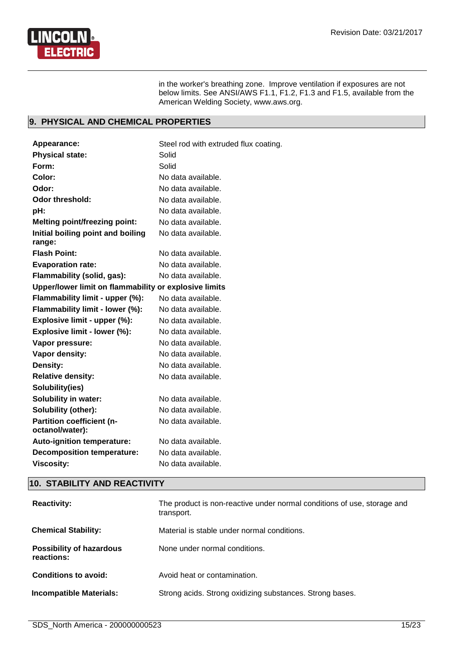![](_page_14_Picture_1.jpeg)

in the worker's breathing zone. Improve ventilation if exposures are not below limits. See ANSI/AWS F1.1, F1.2, F1.3 and F1.5, available from the American Welding Society, www.aws.org.

# **9. PHYSICAL AND CHEMICAL PROPERTIES**

| <b>Appearance:</b>                                    | Steel rod with extruded flux coating. |
|-------------------------------------------------------|---------------------------------------|
| <b>Physical state:</b>                                | Solid                                 |
| Form:                                                 | Solid                                 |
| Color:                                                | No data available.                    |
| Odor:                                                 | No data available.                    |
| Odor threshold:                                       | No data available.                    |
| pH:                                                   | No data available.                    |
| <b>Melting point/freezing point:</b>                  | No data available.                    |
| Initial boiling point and boiling<br>range:           | No data available.                    |
| <b>Flash Point:</b>                                   | No data available.                    |
| <b>Evaporation rate:</b>                              | No data available.                    |
| Flammability (solid, gas):                            | No data available.                    |
| Upper/lower limit on flammability or explosive limits |                                       |
| Flammability limit - upper (%):                       | No data available.                    |
| Flammability limit - lower (%):                       | No data available.                    |
| Explosive limit - upper (%):                          | No data available.                    |
| Explosive limit - lower (%):                          | No data available.                    |
| Vapor pressure:                                       | No data available.                    |
| Vapor density:                                        | No data available.                    |
| Density:                                              | No data available.                    |
| <b>Relative density:</b>                              | No data available.                    |
| Solubility(ies)                                       |                                       |
| <b>Solubility in water:</b>                           | No data available.                    |
| Solubility (other):                                   | No data available.                    |
| <b>Partition coefficient (n-</b><br>octanol/water):   | No data available.                    |
| <b>Auto-ignition temperature:</b>                     | No data available.                    |
| <b>Decomposition temperature:</b>                     | No data available.                    |
| <b>Viscosity:</b>                                     | No data available.                    |

# **10. STABILITY AND REACTIVITY**

| <b>Reactivity:</b>                            | The product is non-reactive under normal conditions of use, storage and<br>transport. |
|-----------------------------------------------|---------------------------------------------------------------------------------------|
| <b>Chemical Stability:</b>                    | Material is stable under normal conditions.                                           |
| <b>Possibility of hazardous</b><br>reactions: | None under normal conditions.                                                         |
| <b>Conditions to avoid:</b>                   | Avoid heat or contamination.                                                          |
| <b>Incompatible Materials:</b>                | Strong acids. Strong oxidizing substances. Strong bases.                              |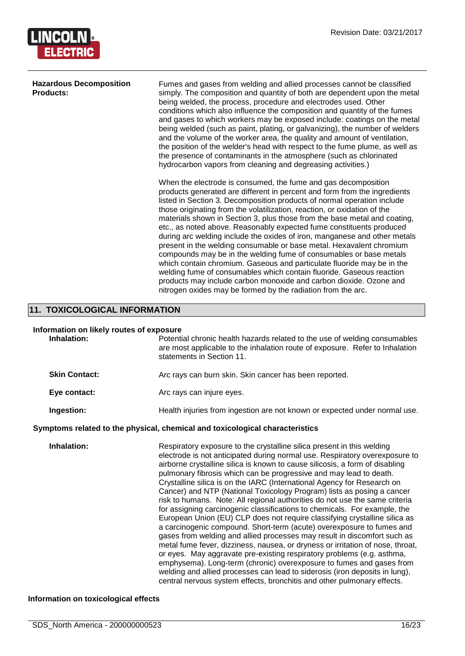![](_page_15_Picture_1.jpeg)

| <b>Hazardous Decomposition</b><br><b>Products:</b> | Fumes and gases from welding and allied processes cannot be classified<br>simply. The composition and quantity of both are dependent upon the metal<br>being welded, the process, procedure and electrodes used. Other<br>conditions which also influence the composition and quantity of the fumes<br>and gases to which workers may be exposed include: coatings on the metal<br>being welded (such as paint, plating, or galvanizing), the number of welders<br>and the volume of the worker area, the quality and amount of ventilation,<br>the position of the welder's head with respect to the fume plume, as well as<br>the presence of contaminants in the atmosphere (such as chlorinated<br>hydrocarbon vapors from cleaning and degreasing activities.)                                                                                                                                                                                                        |
|----------------------------------------------------|----------------------------------------------------------------------------------------------------------------------------------------------------------------------------------------------------------------------------------------------------------------------------------------------------------------------------------------------------------------------------------------------------------------------------------------------------------------------------------------------------------------------------------------------------------------------------------------------------------------------------------------------------------------------------------------------------------------------------------------------------------------------------------------------------------------------------------------------------------------------------------------------------------------------------------------------------------------------------|
|                                                    | When the electrode is consumed, the fume and gas decomposition<br>products generated are different in percent and form from the ingredients<br>listed in Section 3. Decomposition products of normal operation include<br>those originating from the volatilization, reaction, or oxidation of the<br>materials shown in Section 3, plus those from the base metal and coating,<br>etc., as noted above. Reasonably expected fume constituents produced<br>during arc welding include the oxides of iron, manganese and other metals<br>present in the welding consumable or base metal. Hexavalent chromium<br>compounds may be in the welding fume of consumables or base metals<br>which contain chromium. Gaseous and particulate fluoride may be in the<br>welding fume of consumables which contain fluoride. Gaseous reaction<br>products may include carbon monoxide and carbon dioxide. Ozone and<br>nitrogen oxides may be formed by the radiation from the arc. |

# **11. TOXICOLOGICAL INFORMATION**

### **Information on likely routes of exposure**

| Inhalation:          | Potential chronic health hazards related to the use of welding consumables<br>are most applicable to the inhalation route of exposure. Refer to Inhalation<br>statements in Section 11.                                                                                                                                                                                                                                                                                                                                                                                                                                                                                                                                                                                                                                                                                                                                                                                                                                                                                                                                                                                                                                                                       |
|----------------------|---------------------------------------------------------------------------------------------------------------------------------------------------------------------------------------------------------------------------------------------------------------------------------------------------------------------------------------------------------------------------------------------------------------------------------------------------------------------------------------------------------------------------------------------------------------------------------------------------------------------------------------------------------------------------------------------------------------------------------------------------------------------------------------------------------------------------------------------------------------------------------------------------------------------------------------------------------------------------------------------------------------------------------------------------------------------------------------------------------------------------------------------------------------------------------------------------------------------------------------------------------------|
| <b>Skin Contact:</b> | Arc rays can burn skin. Skin cancer has been reported.                                                                                                                                                                                                                                                                                                                                                                                                                                                                                                                                                                                                                                                                                                                                                                                                                                                                                                                                                                                                                                                                                                                                                                                                        |
| Eye contact:         | Arc rays can injure eyes.                                                                                                                                                                                                                                                                                                                                                                                                                                                                                                                                                                                                                                                                                                                                                                                                                                                                                                                                                                                                                                                                                                                                                                                                                                     |
| Ingestion:           | Health injuries from ingestion are not known or expected under normal use.                                                                                                                                                                                                                                                                                                                                                                                                                                                                                                                                                                                                                                                                                                                                                                                                                                                                                                                                                                                                                                                                                                                                                                                    |
|                      | Symptoms related to the physical, chemical and toxicological characteristics                                                                                                                                                                                                                                                                                                                                                                                                                                                                                                                                                                                                                                                                                                                                                                                                                                                                                                                                                                                                                                                                                                                                                                                  |
| Inhalation:          | Respiratory exposure to the crystalline silica present in this welding<br>electrode is not anticipated during normal use. Respiratory overexposure to<br>airborne crystalline silica is known to cause silicosis, a form of disabling<br>pulmonary fibrosis which can be progressive and may lead to death.<br>Crystalline silica is on the IARC (International Agency for Research on<br>Cancer) and NTP (National Toxicology Program) lists as posing a cancer<br>risk to humans. Note: All regional authorities do not use the same criteria<br>for assigning carcinogenic classifications to chemicals. For example, the<br>European Union (EU) CLP does not require classifying crystalline silica as<br>a carcinogenic compound. Short-term (acute) overexposure to fumes and<br>gases from welding and allied processes may result in discomfort such as<br>metal fume fever, dizziness, nausea, or dryness or irritation of nose, throat,<br>or eyes. May aggravate pre-existing respiratory problems (e.g. asthma,<br>emphysema). Long-term (chronic) overexposure to fumes and gases from<br>welding and allied processes can lead to siderosis (iron deposits in lung),<br>central nervous system effects, bronchitis and other pulmonary effects. |

# **Information on toxicological effects**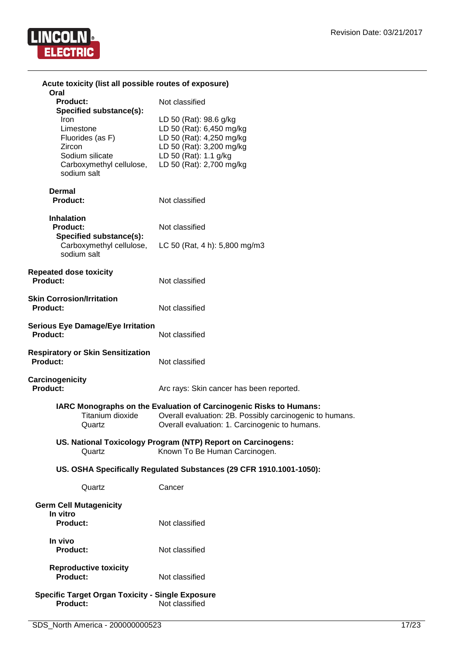![](_page_16_Picture_1.jpeg)

| Acute toxicity (list all possible routes of exposure)                                                         |                                                                                                                                                                                  |
|---------------------------------------------------------------------------------------------------------------|----------------------------------------------------------------------------------------------------------------------------------------------------------------------------------|
| Oral<br><b>Product:</b><br>Specified substance(s):                                                            | Not classified                                                                                                                                                                   |
| Iron<br>Limestone<br>Fluorides (as F)<br>Zircon<br>Sodium silicate<br>Carboxymethyl cellulose,<br>sodium salt | LD 50 (Rat): 98.6 g/kg<br>LD 50 (Rat): 6,450 mg/kg<br>LD 50 (Rat): 4,250 mg/kg<br>LD 50 (Rat): 3,200 mg/kg<br>LD 50 (Rat): 1.1 g/kg<br>LD 50 (Rat): 2,700 mg/kg                  |
| <b>Dermal</b><br><b>Product:</b>                                                                              | Not classified                                                                                                                                                                   |
| <b>Inhalation</b><br><b>Product:</b>                                                                          | Not classified                                                                                                                                                                   |
| Specified substance(s):<br>Carboxymethyl cellulose,<br>sodium salt                                            | LC 50 (Rat, 4 h): 5,800 mg/m3                                                                                                                                                    |
| <b>Repeated dose toxicity</b><br>Product:                                                                     | Not classified                                                                                                                                                                   |
| <b>Skin Corrosion/Irritation</b><br><b>Product:</b>                                                           | Not classified                                                                                                                                                                   |
| <b>Serious Eye Damage/Eye Irritation</b><br>Product:                                                          | Not classified                                                                                                                                                                   |
| <b>Respiratory or Skin Sensitization</b><br><b>Product:</b>                                                   | Not classified                                                                                                                                                                   |
| Carcinogenicity<br><b>Product:</b>                                                                            | Arc rays: Skin cancer has been reported.                                                                                                                                         |
| Titanium dioxide<br>Quartz                                                                                    | IARC Monographs on the Evaluation of Carcinogenic Risks to Humans:<br>Overall evaluation: 2B. Possibly carcinogenic to humans.<br>Overall evaluation: 1. Carcinogenic to humans. |
| Quartz                                                                                                        | US. National Toxicology Program (NTP) Report on Carcinogens:<br>Known To Be Human Carcinogen.                                                                                    |
|                                                                                                               | US. OSHA Specifically Regulated Substances (29 CFR 1910.1001-1050):                                                                                                              |
| Quartz                                                                                                        | Cancer                                                                                                                                                                           |
| <b>Germ Cell Mutagenicity</b><br>In vitro<br>Product:                                                         | Not classified                                                                                                                                                                   |
| In vivo<br><b>Product:</b>                                                                                    | Not classified                                                                                                                                                                   |
| <b>Reproductive toxicity</b><br>Product:                                                                      | Not classified                                                                                                                                                                   |
| <b>Specific Target Organ Toxicity - Single Exposure</b><br>Product:                                           | Not classified                                                                                                                                                                   |
|                                                                                                               |                                                                                                                                                                                  |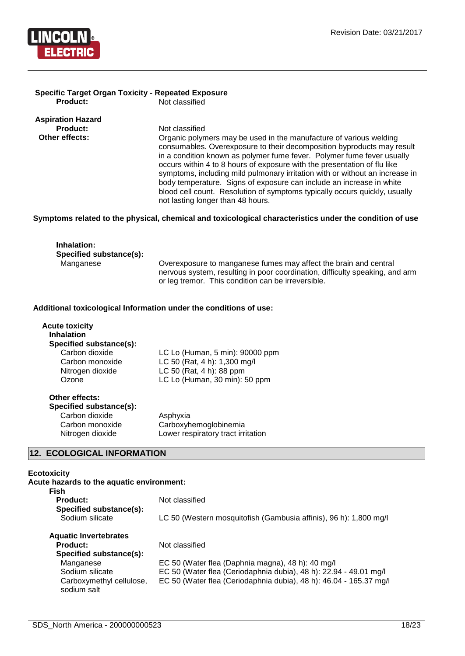![](_page_17_Picture_1.jpeg)

#### **Specific Target Organ Toxicity - Repeated Exposure Not classified**

**Aspiration Hazard**

**Not classified Other effects: Organic polymers may be used in the manufacture of various welding** consumables. Overexposure to their decomposition byproducts may result in a condition known as polymer fume fever. Polymer fume fever usually occurs within 4 to 8 hours of exposure with the presentation of flu like symptoms, including mild pulmonary irritation with or without an increase in body temperature. Signs of exposure can include an increase in white blood cell count. Resolution of symptoms typically occurs quickly, usually not lasting longer than 48 hours.

#### **Symptoms related to the physical, chemical and toxicological characteristics under the condition of use**

| Inhalation:<br>Specified substance(s): |                                                                                                                                                  |
|----------------------------------------|--------------------------------------------------------------------------------------------------------------------------------------------------|
| Manganese                              | Overexposure to manganese fumes may affect the brain and central<br>nervous system, resulting in poor coordination, difficulty speaking, and arm |
|                                        | or leg tremor. This condition can be irreversible.                                                                                               |

#### **Additional toxicological Information under the conditions of use:**

| <b>Acute toxicity</b><br><b>Inhalation</b><br>Specified substance(s): |                                                                                                                              |
|-----------------------------------------------------------------------|------------------------------------------------------------------------------------------------------------------------------|
| Carbon dioxide<br>Carbon monoxide<br>Nitrogen dioxide<br>Ozone        | LC Lo (Human, 5 min): 90000 ppm<br>LC 50 (Rat, 4 h): 1,300 mg/l<br>LC 50 (Rat, 4 h): 88 ppm<br>LC Lo (Human, 30 min): 50 ppm |
| Other effects:<br>Specified substance(s):                             |                                                                                                                              |

| Asphyxia                           |
|------------------------------------|
| Carboxyhemoglobinemia              |
| Lower respiratory tract irritation |
|                                    |

### **12. ECOLOGICAL INFORMATION**

#### **Ecotoxicity**

| Acute hazards to the aquatic environment:<br>Fish |                                                                    |
|---------------------------------------------------|--------------------------------------------------------------------|
| <b>Product:</b><br>Specified substance(s):        | Not classified                                                     |
| Sodium silicate                                   | LC 50 (Western mosquitofish (Gambusia affinis), 96 h): 1,800 mg/l  |
| <b>Aquatic Invertebrates</b>                      |                                                                    |
| Product:                                          | Not classified                                                     |
| Specified substance(s):                           |                                                                    |
| Manganese                                         | EC 50 (Water flea (Daphnia magna), 48 h): 40 mg/l                  |
| Sodium silicate                                   | EC 50 (Water flea (Ceriodaphnia dubia), 48 h): 22.94 - 49.01 mg/l  |
| Carboxymethyl cellulose,<br>sodium salt           | EC 50 (Water flea (Ceriodaphnia dubia), 48 h): 46.04 - 165.37 mg/l |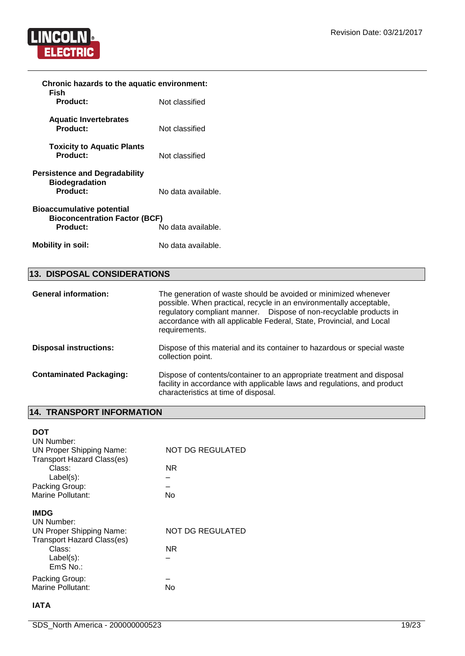![](_page_18_Picture_1.jpeg)

| Chronic hazards to the aquatic environment:                                                                |                    |  |
|------------------------------------------------------------------------------------------------------------|--------------------|--|
| Fish<br><b>Product:</b>                                                                                    | Not classified     |  |
| <b>Aquatic Invertebrates</b><br>Product:                                                                   | Not classified     |  |
| <b>Toxicity to Aquatic Plants</b><br>Product:                                                              | Not classified     |  |
| <b>Persistence and Degradability</b><br><b>Biodegradation</b><br>Product:                                  | No data available. |  |
| <b>Bioaccumulative potential</b><br><b>Bioconcentration Factor (BCF)</b><br>Product:<br>No data available. |                    |  |
| <b>Mobility in soil:</b>                                                                                   | No data available. |  |

# **13. DISPOSAL CONSIDERATIONS**

| <b>General information:</b>    | The generation of waste should be avoided or minimized whenever<br>possible. When practical, recycle in an environmentally acceptable,<br>regulatory compliant manner.  Dispose of non-recyclable products in<br>accordance with all applicable Federal, State, Provincial, and Local<br>requirements. |
|--------------------------------|--------------------------------------------------------------------------------------------------------------------------------------------------------------------------------------------------------------------------------------------------------------------------------------------------------|
| <b>Disposal instructions:</b>  | Dispose of this material and its container to hazardous or special waste<br>collection point.                                                                                                                                                                                                          |
| <b>Contaminated Packaging:</b> | Dispose of contents/container to an appropriate treatment and disposal<br>facility in accordance with applicable laws and regulations, and product<br>characteristics at time of disposal.                                                                                                             |

# **14. TRANSPORT INFORMATION**

| <b>DOT</b><br>UN Number:          |                         |
|-----------------------------------|-------------------------|
| <b>UN Proper Shipping Name:</b>   | NOT DG REGULATED        |
| <b>Transport Hazard Class(es)</b> |                         |
| Class:                            | NR.                     |
| $Label(s)$ :                      |                         |
| Packing Group:                    |                         |
| Marine Pollutant:                 | Nο                      |
| <b>IMDG</b>                       |                         |
| UN Number:                        |                         |
| <b>UN Proper Shipping Name:</b>   | <b>NOT DG REGULATED</b> |
| <b>Transport Hazard Class(es)</b> |                         |
| Class:                            | ΝR                      |
| $Label(s)$ :                      |                         |
| EmS No.:                          |                         |
| Packing Group:                    |                         |
| Marine Pollutant:                 |                         |

#### **IATA**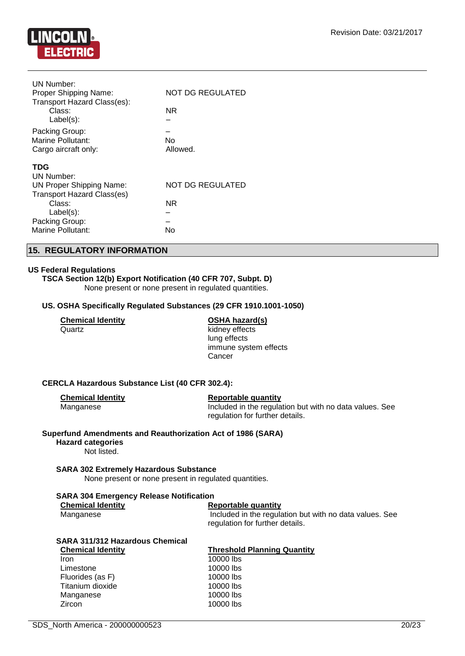![](_page_19_Picture_1.jpeg)

| UN Number:<br>Proper Shipping Name:<br>Transport Hazard Class(es): | <b>NOT DG REGULATED</b> |
|--------------------------------------------------------------------|-------------------------|
| Class:<br>$Label(s)$ :                                             | NR.                     |
| Packing Group:                                                     |                         |
| Marine Pollutant:                                                  | No.                     |
| Cargo aircraft only:                                               | Allowed.                |
| <b>TDG</b>                                                         |                         |
| UN Number:                                                         |                         |
| <b>UN Proper Shipping Name:</b>                                    | NOT DG REGULATED        |
| <b>Transport Hazard Class(es)</b>                                  |                         |
| Class:                                                             | NR.                     |
| $Label(s)$ :                                                       |                         |
| Packing Group:                                                     |                         |
| <b>Marine Pollutant:</b>                                           | No                      |
|                                                                    |                         |

# **15. REGULATORY INFORMATION**

#### **US Federal Regulations**

**TSCA Section 12(b) Export Notification (40 CFR 707, Subpt. D)** None present or none present in regulated quantities.

#### **US. OSHA Specifically Regulated Substances (29 CFR 1910.1001-1050)**

| Chemical Identitv |  |
|-------------------|--|
| Quartz            |  |

**OSHA hazard(s)** kidney effects lung effects immune system effects **Cancer** 

#### **CERCLA Hazardous Substance List (40 CFR 302.4):**

| <b>Chemical Identity</b> | Reportable quantity                                     |
|--------------------------|---------------------------------------------------------|
| Manganese                | Included in the regulation but with no data values. See |
|                          | regulation for further details.                         |

#### **Superfund Amendments and Reauthorization Act of 1986 (SARA)**

**Hazard categories** Not listed.

**SARA 302 Extremely Hazardous Substance** None present or none present in regulated quantities.

#### **SARA 304 Emergency Release Notification**

| <b>Chemical Identity</b> | Reportable quantity                                     |
|--------------------------|---------------------------------------------------------|
| Manganese                | Included in the regulation but with no data values. See |
|                          | regulation for further details.                         |

| <b>SARA 311/312 Hazardous Chemical</b> |                                    |
|----------------------------------------|------------------------------------|
| <b>Chemical Identity</b>               | <b>Threshold Planning Quantity</b> |
| <b>Iron</b>                            | 10000 lbs                          |
| Limestone                              | 10000 lbs                          |
| Fluorides (as F)                       | 10000 lbs                          |
| Titanium dioxide                       | 10000 lbs                          |
| Manganese                              | 10000 lbs                          |
| Zircon                                 | 10000 lbs                          |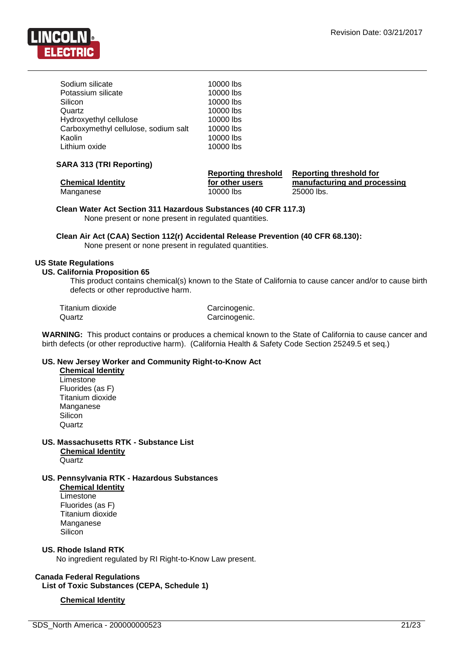![](_page_20_Picture_1.jpeg)

| Sodium silicate                      | 10000 lbs |
|--------------------------------------|-----------|
| Potassium silicate                   | 10000 lbs |
| Silicon                              | 10000 lbs |
| Quartz                               | 10000 lbs |
| Hydroxyethyl cellulose               | 10000 lbs |
| Carboxymethyl cellulose, sodium salt | 10000 lbs |
| Kaolin                               | 10000 lbs |
| Lithium oxide                        | 10000 lbs |

#### **SARA 313 (TRI Reporting)**

|                          | <b>Reporting threshold</b> | Reporting threshold for      |
|--------------------------|----------------------------|------------------------------|
| <b>Chemical Identity</b> | for other users            | manufacturing and processing |
| Manganese                | 10000 lbs                  | 25000 lbs.                   |

**Clean Water Act Section 311 Hazardous Substances (40 CFR 117.3)** None present or none present in regulated quantities.

**Clean Air Act (CAA) Section 112(r) Accidental Release Prevention (40 CFR 68.130):** None present or none present in regulated quantities.

#### **US State Regulations**

#### **US. California Proposition 65**

This product contains chemical(s) known to the State of California to cause cancer and/or to cause birth defects or other reproductive harm.

Titanium dioxide Carcinogenic. Quartz **Carcinogenic.** 

**WARNING:** This product contains or produces a chemical known to the State of California to cause cancer and birth defects (or other reproductive harm). (California Health & Safety Code Section 25249.5 et seq.)

### **US. New Jersey Worker and Community Right-to-Know Act**

**Chemical Identity Limestone** Fluorides (as F) Titanium dioxide **Manganese** Silicon **Quartz** 

**US. Massachusetts RTK - Substance List Chemical Identity Quartz** 

**US. Pennsylvania RTK - Hazardous Substances Chemical Identity**

Limestone Fluorides (as F) Titanium dioxide Manganese **Silicon** 

#### **US. Rhode Island RTK**

No ingredient regulated by RI Right-to-Know Law present.

**Canada Federal Regulations List of Toxic Substances (CEPA, Schedule 1)**

#### **Chemical Identity**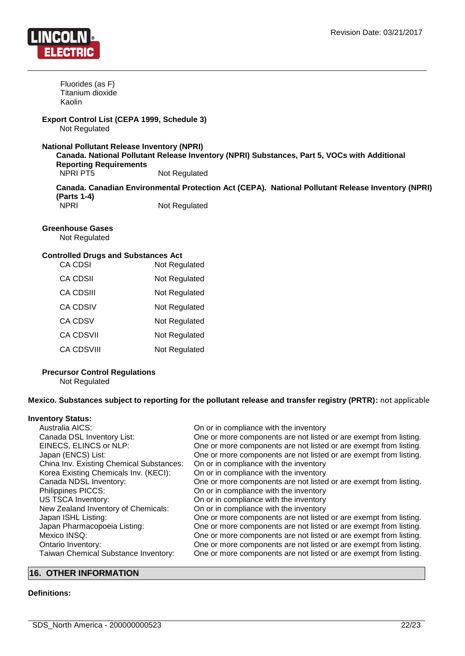![](_page_21_Picture_1.jpeg)

Fluorides (as F) Titanium dioxide Kaolin

#### **Export Control List (CEPA 1999, Schedule 3)** Not Regulated

#### **National Pollutant Release Inventory (NPRI)**

**Canada. National Pollutant Release Inventory (NPRI) Substances, Part 5, VOCs with Additional Reporting Requirements** NPRI PT5 Not Regulated

**Canada. Canadian Environmental Protection Act (CEPA). National Pollutant Release Inventory (NPRI) (Parts 1-4)**

NPRI Not Regulated

#### **Greenhouse Gases**

Not Regulated

#### **Controlled Drugs and Substances Act**

| CA CDSI    | Not Regulated |
|------------|---------------|
| CA CDSII   | Not Regulated |
| CA CDSIII  | Not Regulated |
| CA CDSIV   | Not Regulated |
| CA CDSV    | Not Regulated |
| CA CDSVII  | Not Regulated |
| CA CDSVIII | Not Regulated |
|            |               |

#### **Precursor Control Regulations**

Not Regulated

**Mexico. Substances subject to reporting for the pollutant release and transfer registry (PRTR):** not applicable

#### **Inventory Status:**

| Australia AICS:                          | On or in compliance with the inventory                            |
|------------------------------------------|-------------------------------------------------------------------|
| Canada DSL Inventory List:               | One or more components are not listed or are exempt from listing. |
| EINECS, ELINCS or NLP:                   | One or more components are not listed or are exempt from listing. |
| Japan (ENCS) List:                       | One or more components are not listed or are exempt from listing. |
| China Inv. Existing Chemical Substances: | On or in compliance with the inventory                            |
| Korea Existing Chemicals Inv. (KECI):    | On or in compliance with the inventory                            |
| Canada NDSL Inventory:                   | One or more components are not listed or are exempt from listing. |
| Philippines PICCS:                       | On or in compliance with the inventory                            |
| <b>US TSCA Inventory:</b>                | On or in compliance with the inventory                            |
| New Zealand Inventory of Chemicals:      | On or in compliance with the inventory                            |
| Japan ISHL Listing:                      | One or more components are not listed or are exempt from listing. |
| Japan Pharmacopoeia Listing:             | One or more components are not listed or are exempt from listing. |
| Mexico INSQ:                             | One or more components are not listed or are exempt from listing. |
| Ontario Inventory:                       | One or more components are not listed or are exempt from listing. |
| Taiwan Chemical Substance Inventory:     | One or more components are not listed or are exempt from listing. |

# **16. OTHER INFORMATION**

#### **Definitions:**